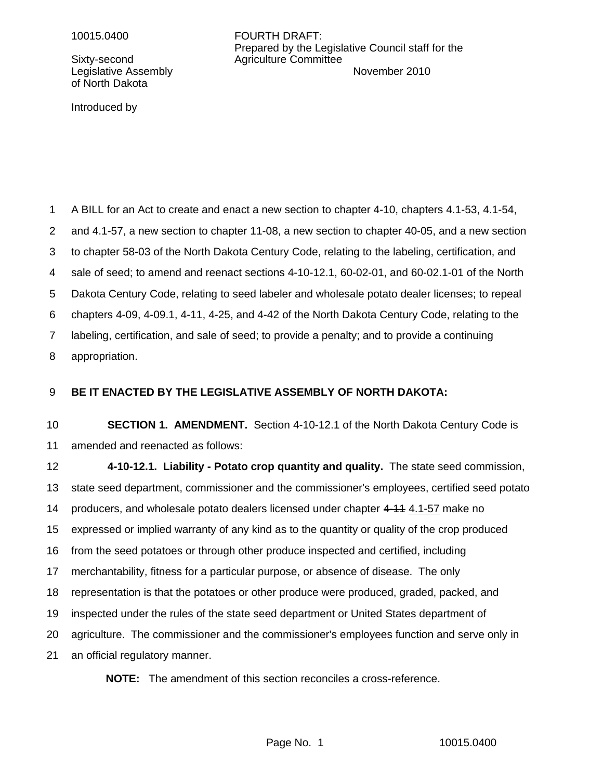of North Dakota

Introduced by

10015.0400 FOURTH DRAFT: Prepared by the Legislative Council staff for the Sixty-second Agriculture Committee Legislative Assembly **November 2010** 

A BILL for an Act to create and enact a new section to chapter 4-10, chapters 4.1-53, 4.1-54, and 4.1-57, a new section to chapter 11-08, a new section to chapter 40-05, and a new section to chapter 58-03 of the North Dakota Century Code, relating to the labeling, certification, and sale of seed; to amend and reenact sections 4-10-12.1, 60-02-01, and 60-02.1-01 of the North Dakota Century Code, relating to seed labeler and wholesale potato dealer licenses; to repeal chapters 4-09, 4-09.1, 4-11, 4-25, and 4-42 of the North Dakota Century Code, relating to the labeling, certification, and sale of seed; to provide a penalty; and to provide a continuing appropriation. 1 2 3 4 5 6 7 8

### **BE IT ENACTED BY THE LEGISLATIVE ASSEMBLY OF NORTH DAKOTA:** 9

**SECTION 1. AMENDMENT.** Section 4-10-12.1 of the North Dakota Century Code is amended and reenacted as follows: 10 11

**4-10-12.1. Liability - Potato crop quantity and quality.** The state seed commission, state seed department, commissioner and the commissioner's employees, certified seed potato producers, and wholesale potato dealers licensed under chapter 4-11 4.1-57 make no expressed or implied warranty of any kind as to the quantity or quality of the crop produced from the seed potatoes or through other produce inspected and certified, including merchantability, fitness for a particular purpose, or absence of disease. The only representation is that the potatoes or other produce were produced, graded, packed, and inspected under the rules of the state seed department or United States department of agriculture. The commissioner and the commissioner's employees function and serve only in an official regulatory manner. 12 13 14 15 16 17 18 19 20 21

**NOTE:** The amendment of this section reconciles a cross-reference.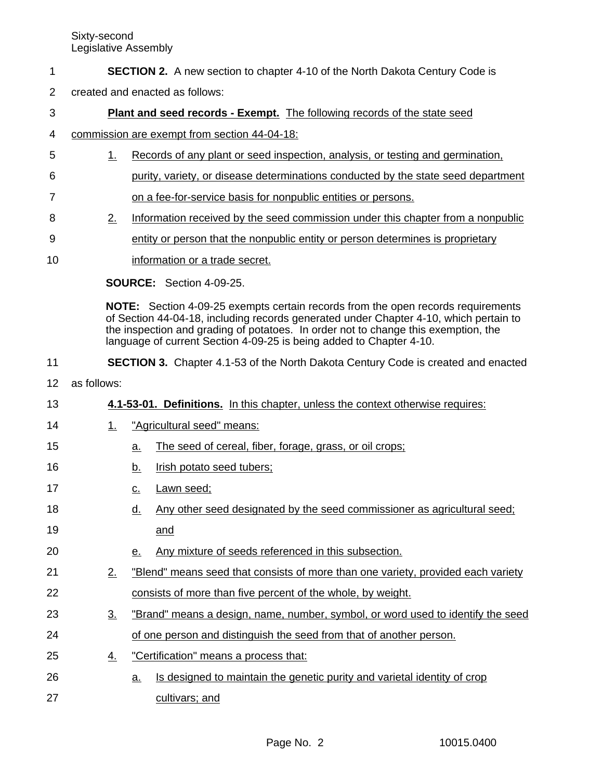### **SECTION 2.** A new section to chapter 4-10 of the North Dakota Century Code is 1

created and enacted as follows: 2

### **Plant and seed records - Exempt.** The following records of the state seed 3

#### commission are exempt from section 44-04-18: 4

- 1. Records of any plant or seed inspection, analysis, or testing and germination, 5
- purity, variety, or disease determinations conducted by the state seed department 6

on a fee-for-service basis for nonpublic entities or persons. 7

- 2. Information received by the seed commission under this chapter from a nonpublic 8
- entity or person that the nonpublic entity or person determines is proprietary 9
	- information or a trade secret.

**SOURCE:** Section 4-09-25.

**NOTE:** Section 4-09-25 exempts certain records from the open records requirements of Section 44-04-18, including records generated under Chapter 4-10, which pertain to the inspection and grading of potatoes. In order not to change this exemption, the language of current Section 4-09-25 is being added to Chapter 4-10.

#### **SECTION 3.** Chapter 4.1-53 of the North Dakota Century Code is created and enacted 11

as follows: 12

10

15

- **4.1-53-01. Definitions.** In this chapter, unless the context otherwise requires: 13
- 1. "Agricultural seed" means: 14
	- a. The seed of cereal, fiber, forage, grass, or oil crops;
- b. Irish potato seed tubers; 16
- c. Lawn seed; 17
- d. Any other seed designated by the seed commissioner as agricultural seed; and 18 19
- e. Any mixture of seeds referenced in this subsection. 20
- 2. "Blend" means seed that consists of more than one variety, provided each variety consists of more than five percent of the whole, by weight. 21 22
- 3. "Brand" means a design, name, number, symbol, or word used to identify the seed 23
- of one person and distinguish the seed from that of another person. 24
- 4. "Certification" means a process that: 25
- a. Is designed to maintain the genetic purity and varietal identity of crop cultivars; and 26 27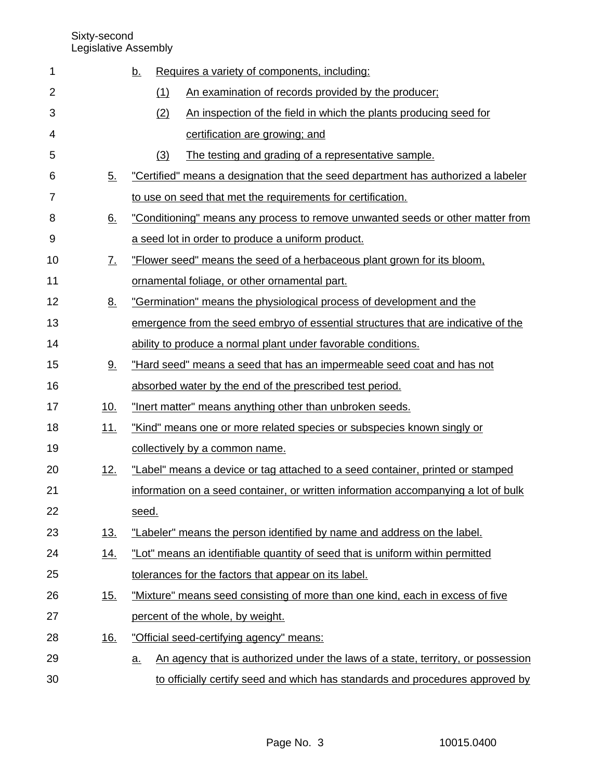| 1  |                   | Requires a variety of components, including:<br><u>b.</u>                                     |  |  |  |  |
|----|-------------------|-----------------------------------------------------------------------------------------------|--|--|--|--|
| 2  |                   | (1)<br>An examination of records provided by the producer;                                    |  |  |  |  |
| 3  |                   | (2)<br>An inspection of the field in which the plants producing seed for                      |  |  |  |  |
| 4  |                   | certification are growing; and                                                                |  |  |  |  |
| 5  |                   | (3)<br>The testing and grading of a representative sample.                                    |  |  |  |  |
| 6  | 5.                | "Certified" means a designation that the seed department has authorized a labeler             |  |  |  |  |
| 7  |                   | to use on seed that met the requirements for certification.                                   |  |  |  |  |
| 8  | 6.                | "Conditioning" means any process to remove unwanted seeds or other matter from                |  |  |  |  |
| 9  |                   | a seed lot in order to produce a uniform product.                                             |  |  |  |  |
| 10 | $\underline{7}$ . | "Flower seed" means the seed of a herbaceous plant grown for its bloom,                       |  |  |  |  |
| 11 |                   | ornamental foliage, or other ornamental part.                                                 |  |  |  |  |
| 12 | 8.                | "Germination" means the physiological process of development and the                          |  |  |  |  |
| 13 |                   | emergence from the seed embryo of essential structures that are indicative of the             |  |  |  |  |
| 14 |                   | ability to produce a normal plant under favorable conditions.                                 |  |  |  |  |
| 15 | <u>9.</u>         | "Hard seed" means a seed that has an impermeable seed coat and has not                        |  |  |  |  |
| 16 |                   | absorbed water by the end of the prescribed test period.                                      |  |  |  |  |
| 17 | <u>10.</u>        | "Inert matter" means anything other than unbroken seeds.                                      |  |  |  |  |
| 18 | <u>11.</u>        | "Kind" means one or more related species or subspecies known singly or                        |  |  |  |  |
| 19 |                   | collectively by a common name.                                                                |  |  |  |  |
| 20 | 12.               | "Label" means a device or tag attached to a seed container, printed or stamped                |  |  |  |  |
| 21 |                   | information on a seed container, or written information accompanying a lot of bulk            |  |  |  |  |
| 22 |                   | seed.                                                                                         |  |  |  |  |
| 23 | 13.               | "Labeler" means the person identified by name and address on the label.                       |  |  |  |  |
| 24 | 14.               | "Lot" means an identifiable quantity of seed that is uniform within permitted                 |  |  |  |  |
| 25 |                   | tolerances for the factors that appear on its label.                                          |  |  |  |  |
| 26 | <u>15.</u>        | "Mixture" means seed consisting of more than one kind, each in excess of five                 |  |  |  |  |
| 27 |                   | percent of the whole, by weight.                                                              |  |  |  |  |
| 28 | 16.               | "Official seed-certifying agency" means:                                                      |  |  |  |  |
| 29 |                   | An agency that is authorized under the laws of a state, territory, or possession<br><u>a.</u> |  |  |  |  |
| 30 |                   | to officially certify seed and which has standards and procedures approved by                 |  |  |  |  |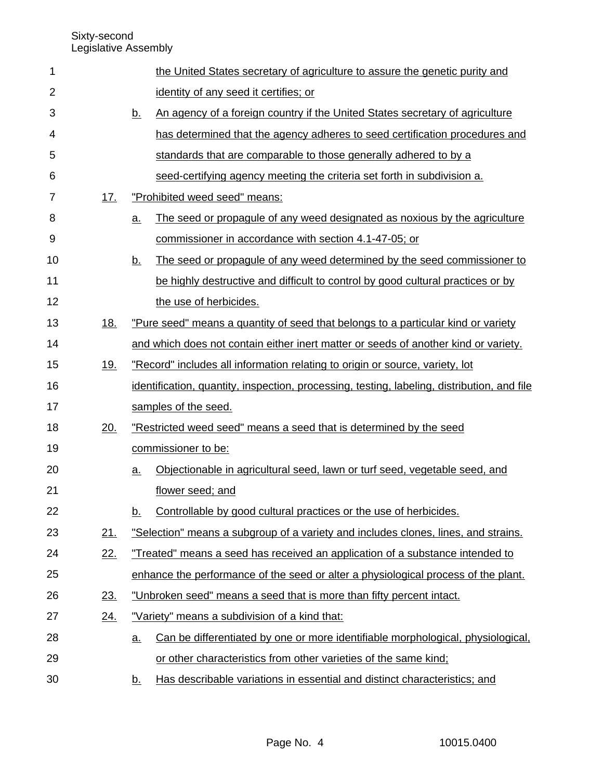| 1  |            |           | the United States secretary of agriculture to assure the genetic purity and                 |  |  |  |
|----|------------|-----------|---------------------------------------------------------------------------------------------|--|--|--|
| 2  |            |           | identity of any seed it certifies; or                                                       |  |  |  |
| 3  |            | <u>b.</u> | An agency of a foreign country if the United States secretary of agriculture                |  |  |  |
| 4  |            |           | has determined that the agency adheres to seed certification procedures and                 |  |  |  |
| 5  |            |           | standards that are comparable to those generally adhered to by a                            |  |  |  |
| 6  |            |           | seed-certifying agency meeting the criteria set forth in subdivision a.                     |  |  |  |
| 7  | 17.        |           | "Prohibited weed seed" means:                                                               |  |  |  |
| 8  |            | <u>a</u>  | The seed or propagule of any weed designated as noxious by the agriculture                  |  |  |  |
| 9  |            |           | commissioner in accordance with section 4.1-47-05; or                                       |  |  |  |
| 10 |            | <u>b.</u> | The seed or propagule of any weed determined by the seed commissioner to                    |  |  |  |
| 11 |            |           | be highly destructive and difficult to control by good cultural practices or by             |  |  |  |
| 12 |            |           | the use of herbicides.                                                                      |  |  |  |
| 13 | 18.        |           | "Pure seed" means a quantity of seed that belongs to a particular kind or variety           |  |  |  |
| 14 |            |           | and which does not contain either inert matter or seeds of another kind or variety.         |  |  |  |
| 15 | <u>19.</u> |           | "Record" includes all information relating to origin or source, variety, lot                |  |  |  |
| 16 |            |           | identification, quantity, inspection, processing, testing, labeling, distribution, and file |  |  |  |
| 17 |            |           | samples of the seed.                                                                        |  |  |  |
| 18 | 20.        |           | "Restricted weed seed" means a seed that is determined by the seed                          |  |  |  |
| 19 |            |           | commissioner to be:                                                                         |  |  |  |
| 20 |            | <u>a.</u> | Objectionable in agricultural seed, lawn or turf seed, vegetable seed, and                  |  |  |  |
| 21 |            |           | flower seed; and                                                                            |  |  |  |
| 22 |            | <u>b.</u> | Controllable by good cultural practices or the use of herbicides.                           |  |  |  |
| 23 | 21.        |           | "Selection" means a subgroup of a variety and includes clones, lines, and strains.          |  |  |  |
| 24 | 22.        |           | "Treated" means a seed has received an application of a substance intended to               |  |  |  |
| 25 |            |           | enhance the performance of the seed or alter a physiological process of the plant.          |  |  |  |
| 26 | 23.        |           | "Unbroken seed" means a seed that is more than fifty percent intact.                        |  |  |  |
| 27 | <u>24.</u> |           | "Variety" means a subdivision of a kind that:                                               |  |  |  |
| 28 |            | <u>a.</u> | Can be differentiated by one or more identifiable morphological, physiological,             |  |  |  |
| 29 |            |           | or other characteristics from other varieties of the same kind;                             |  |  |  |
| 30 |            | <u>b.</u> | Has describable variations in essential and distinct characteristics; and                   |  |  |  |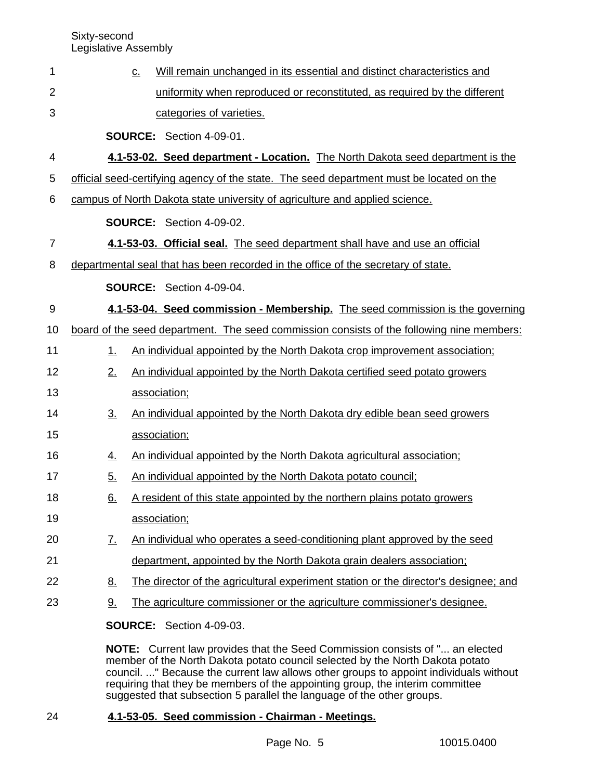| 1              | $\underline{\mathsf{C}}$ . | Will remain unchanged in its essential and distinct characteristics and                   |
|----------------|----------------------------|-------------------------------------------------------------------------------------------|
| $\overline{2}$ |                            | uniformity when reproduced or reconstituted, as required by the different                 |
| 3              |                            | categories of varieties.                                                                  |
|                |                            | <b>SOURCE:</b> Section 4-09-01.                                                           |
| 4              |                            | 4.1-53-02. Seed department - Location. The North Dakota seed department is the            |
| 5              |                            | official seed-certifying agency of the state. The seed department must be located on the  |
| 6              |                            | campus of North Dakota state university of agriculture and applied science.               |
|                |                            | SOURCE: Section 4-09-02.                                                                  |
| 7              |                            | 4.1-53-03. Official seal. The seed department shall have and use an official              |
| 8              |                            | departmental seal that has been recorded in the office of the secretary of state.         |
|                |                            | <b>SOURCE:</b> Section 4-09-04.                                                           |
| 9              |                            | 4.1-53-04. Seed commission - Membership. The seed commission is the governing             |
| 10             |                            | board of the seed department. The seed commission consists of the following nine members: |
| 11             | 1.                         | An individual appointed by the North Dakota crop improvement association;                 |
| 12             | 2.                         | An individual appointed by the North Dakota certified seed potato growers                 |
| 13             |                            | association;                                                                              |
| 14             | $\underline{3}$ .          | An individual appointed by the North Dakota dry edible bean seed growers                  |
| 15             |                            | association;                                                                              |
| 16             | <u>4.</u>                  | An individual appointed by the North Dakota agricultural association;                     |
| 17             | 5.                         | An individual appointed by the North Dakota potato council;                               |
| 18             | <u>6.</u>                  | A resident of this state appointed by the northern plains potato growers                  |
| 19             |                            | association;                                                                              |
| 20             | <u>7.</u>                  | An individual who operates a seed-conditioning plant approved by the seed                 |
| 21             |                            | department, appointed by the North Dakota grain dealers association;                      |
| 22             | <u>8.</u>                  | The director of the agricultural experiment station or the director's designee; and       |
| 23             | <u>9.</u>                  | The agriculture commissioner or the agriculture commissioner's designee.                  |
|                |                            | <b>SOURCE:</b> Section 4-09-03.                                                           |
|                |                            | NOTE: Current law provides that the Seed Commission consists of " an elected              |

member of the North Dakota potato council selected by the North Dakota potato council. ..." Because the current law allows other groups to appoint individuals without requiring that they be members of the appointing group, the interim committee suggested that subsection 5 parallel the language of the other groups.

### **4.1-53-05. Seed commission - Chairman - Meetings.** 24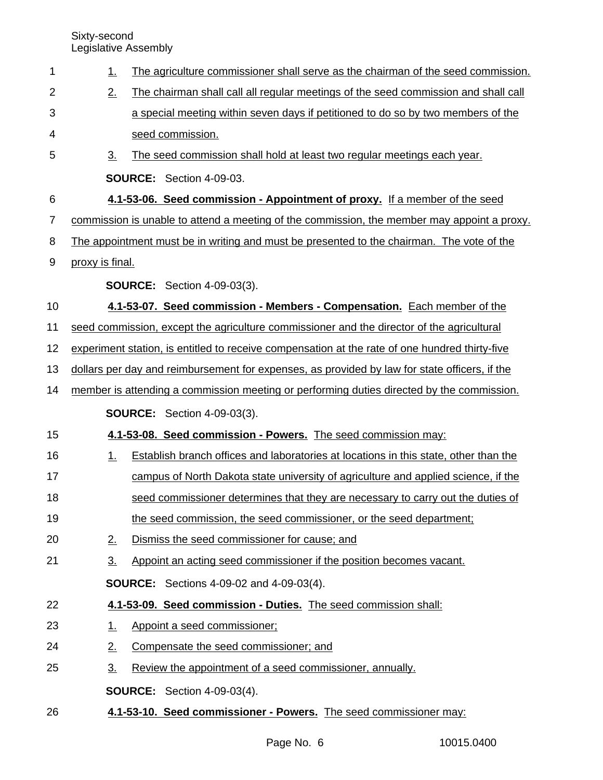| 1              | 1.              | The agriculture commissioner shall serve as the chairman of the seed commission.               |
|----------------|-----------------|------------------------------------------------------------------------------------------------|
| 2              | 2.              | The chairman shall call all regular meetings of the seed commission and shall call             |
| 3              |                 | a special meeting within seven days if petitioned to do so by two members of the               |
| 4              |                 | seed commission.                                                                               |
| 5              | 3.              | The seed commission shall hold at least two regular meetings each year.                        |
|                |                 | SOURCE: Section 4-09-03.                                                                       |
| 6              |                 | 4.1-53-06. Seed commission - Appointment of proxy. If a member of the seed                     |
| $\overline{7}$ |                 | commission is unable to attend a meeting of the commission, the member may appoint a proxy.    |
| 8              |                 | The appointment must be in writing and must be presented to the chairman. The vote of the      |
| 9              | proxy is final. |                                                                                                |
|                |                 | <b>SOURCE:</b> Section 4-09-03(3).                                                             |
| 10             |                 | 4.1-53-07. Seed commission - Members - Compensation. Each member of the                        |
| 11             |                 | seed commission, except the agriculture commissioner and the director of the agricultural      |
| 12             |                 | experiment station, is entitled to receive compensation at the rate of one hundred thirty-five |
| 13             |                 | dollars per day and reimbursement for expenses, as provided by law for state officers, if the  |
| 14             |                 | member is attending a commission meeting or performing duties directed by the commission.      |
|                |                 | <b>SOURCE:</b> Section 4-09-03(3).                                                             |
| 15             |                 | 4.1-53-08. Seed commission - Powers. The seed commission may:                                  |
| 16             | <u>1.</u>       | Establish branch offices and laboratories at locations in this state, other than the           |
| 17             |                 | campus of North Dakota state university of agriculture and applied science, if the             |
| 18             |                 | seed commissioner determines that they are necessary to carry out the duties of                |
| 19             |                 | the seed commission, the seed commissioner, or the seed department;                            |
| 20             | 2.              | Dismiss the seed commissioner for cause; and                                                   |
| 21             | <u>3.</u>       | Appoint an acting seed commissioner if the position becomes vacant.                            |
|                |                 | <b>SOURCE:</b> Sections 4-09-02 and 4-09-03(4).                                                |
| 22             |                 | 4.1-53-09. Seed commission - Duties. The seed commission shall:                                |
| 23             | <u>1.</u>       | Appoint a seed commissioner;                                                                   |
| 24             | 2.              | Compensate the seed commissioner; and                                                          |
| 25             | <u>3.</u>       | Review the appointment of a seed commissioner, annually.                                       |
|                |                 | <b>SOURCE:</b> Section 4-09-03(4).                                                             |
| 26             |                 | 4.1-53-10. Seed commissioner - Powers. The seed commissioner may:                              |
|                |                 |                                                                                                |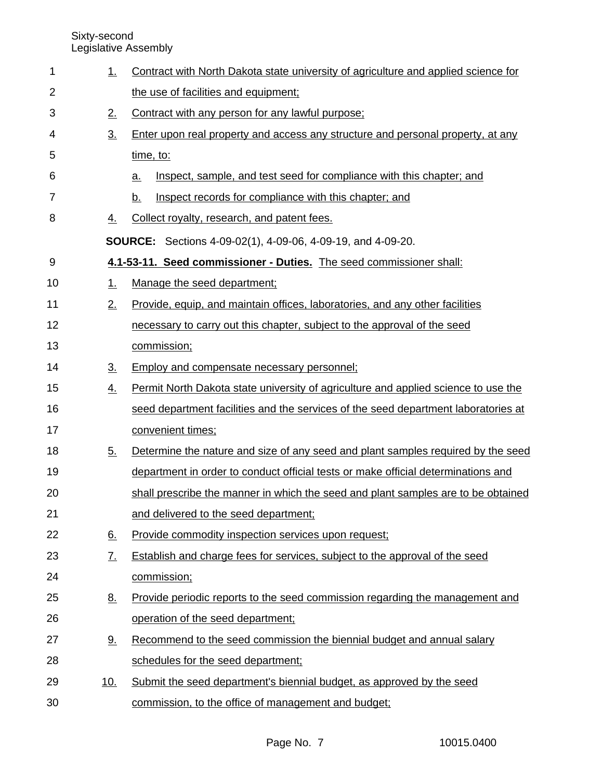| 1              | 1.                | Contract with North Dakota state university of agriculture and applied science for |  |  |  |  |  |  |
|----------------|-------------------|------------------------------------------------------------------------------------|--|--|--|--|--|--|
| $\overline{2}$ |                   | the use of facilities and equipment;                                               |  |  |  |  |  |  |
| 3              | 2.                | Contract with any person for any lawful purpose;                                   |  |  |  |  |  |  |
| 4              | $\underline{3}$ . | Enter upon real property and access any structure and personal property, at any    |  |  |  |  |  |  |
| 5              |                   | time, to:                                                                          |  |  |  |  |  |  |
| 6              |                   | Inspect, sample, and test seed for compliance with this chapter; and<br>a.         |  |  |  |  |  |  |
| $\overline{7}$ |                   | Inspect records for compliance with this chapter; and<br><u>b.</u>                 |  |  |  |  |  |  |
| 8              | <u>4.</u>         | Collect royalty, research, and patent fees.                                        |  |  |  |  |  |  |
|                |                   | <b>SOURCE:</b> Sections 4-09-02(1), 4-09-06, 4-09-19, and 4-09-20.                 |  |  |  |  |  |  |
| 9              |                   | 4.1-53-11. Seed commissioner - Duties. The seed commissioner shall:                |  |  |  |  |  |  |
| 10             | <u>1.</u>         | Manage the seed department;                                                        |  |  |  |  |  |  |
| 11             | 2.                | Provide, equip, and maintain offices, laboratories, and any other facilities       |  |  |  |  |  |  |
| 12             |                   | necessary to carry out this chapter, subject to the approval of the seed           |  |  |  |  |  |  |
| 13             |                   | commission;                                                                        |  |  |  |  |  |  |
| 14             | $\underline{3}$ . | Employ and compensate necessary personnel;                                         |  |  |  |  |  |  |
| 15             | <u>4.</u>         | Permit North Dakota state university of agriculture and applied science to use the |  |  |  |  |  |  |
| 16             |                   | seed department facilities and the services of the seed department laboratories at |  |  |  |  |  |  |
| 17             |                   | convenient times;                                                                  |  |  |  |  |  |  |
| 18             | $\underline{5}$ . | Determine the nature and size of any seed and plant samples required by the seed   |  |  |  |  |  |  |
| 19             |                   | department in order to conduct official tests or make official determinations and  |  |  |  |  |  |  |
| 20             |                   | shall prescribe the manner in which the seed and plant samples are to be obtained  |  |  |  |  |  |  |
| 21             |                   | and delivered to the seed department;                                              |  |  |  |  |  |  |
| 22             | 6.                | Provide commodity inspection services upon request;                                |  |  |  |  |  |  |
| 23             | $\underline{7}$ . | Establish and charge fees for services, subject to the approval of the seed        |  |  |  |  |  |  |
| 24             |                   | commission;                                                                        |  |  |  |  |  |  |
| 25             | <u>8.</u>         | Provide periodic reports to the seed commission regarding the management and       |  |  |  |  |  |  |
| 26             |                   | operation of the seed department;                                                  |  |  |  |  |  |  |
| 27             | <u>9.</u>         | Recommend to the seed commission the biennial budget and annual salary             |  |  |  |  |  |  |
| 28             |                   | schedules for the seed department;                                                 |  |  |  |  |  |  |
| 29             | <u>10.</u>        | Submit the seed department's biennial budget, as approved by the seed              |  |  |  |  |  |  |
| 30             |                   | commission, to the office of management and budget;                                |  |  |  |  |  |  |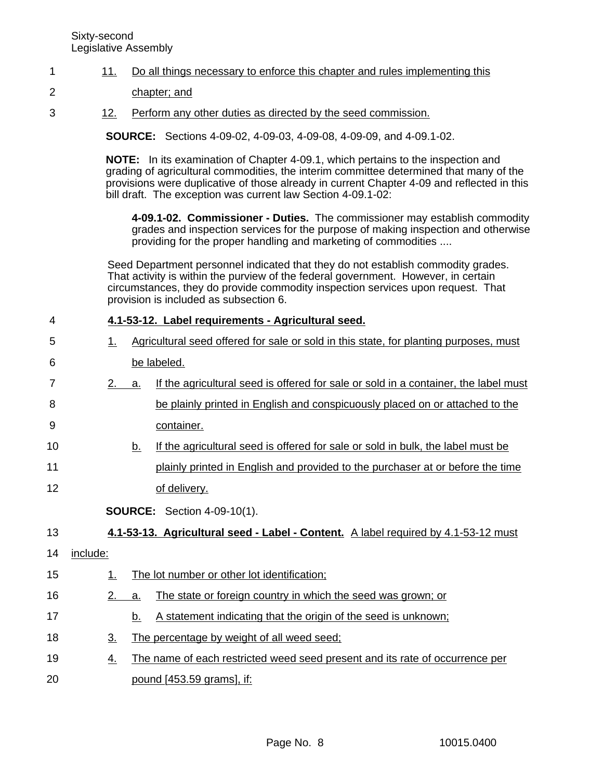#### 11. Do all things necessary to enforce this chapter and rules implementing this 1

- chapter; and 2
- 12. Perform any other duties as directed by the seed commission. 3

**SOURCE:** Sections 4-09-02, 4-09-03, 4-09-08, 4-09-09, and 4-09.1-02.

**NOTE:** In its examination of Chapter 4-09.1, which pertains to the inspection and grading of agricultural commodities, the interim committee determined that many of the provisions were duplicative of those already in current Chapter 4-09 and reflected in this bill draft. The exception was current law Section 4-09.1-02:

**4-09.1-02. Commissioner - Duties.** The commissioner may establish commodity grades and inspection services for the purpose of making inspection and otherwise providing for the proper handling and marketing of commodities ....

Seed Department personnel indicated that they do not establish commodity grades. That activity is within the purview of the federal government. However, in certain circumstances, they do provide commodity inspection services upon request. That provision is included as subsection 6.

#### **4.1-53-12. Label requirements - Agricultural seed.** 4

| 5              | 1. |    | Agricultural seed offered for sale or sold in this state, for planting purposes, must                                                                                                                                                                             |  |  |
|----------------|----|----|-------------------------------------------------------------------------------------------------------------------------------------------------------------------------------------------------------------------------------------------------------------------|--|--|
| 6              |    |    | be labeled.                                                                                                                                                                                                                                                       |  |  |
| $\overline{7}$ | 2. | а. | If the agricultural seed is offered for sale or sold in a container, the label must                                                                                                                                                                               |  |  |
| 8              |    |    | be plainly printed in English and conspicuously placed on or attached to the                                                                                                                                                                                      |  |  |
| 9              |    |    | container.                                                                                                                                                                                                                                                        |  |  |
| 10             |    | b. | If the agricultural seed is offered for sale or sold in bulk, the label must be                                                                                                                                                                                   |  |  |
| 11             |    |    | plainly printed in English and provided to the purchaser at or before the time                                                                                                                                                                                    |  |  |
| 12             |    |    | of delivery.                                                                                                                                                                                                                                                      |  |  |
|                |    |    | <b>SOURCE:</b> Section 4-09-10(1).                                                                                                                                                                                                                                |  |  |
| $\sqrt{2}$     |    |    | $\overline{A}$ at $\overline{B}$ and $\overline{A}$ are set of the state of the state of the state of the state $\overline{A}$ at $\overline{B}$ and $\overline{A}$ are stated to the state of the state of the state of the state of the state of the state of t |  |  |

- **4.1-53-13. Agricultural seed Label Content.** A label required by 4.1-53-12 must 13
- include: 14
- 1. The lot number or other lot identification; 2. a. The state or foreign country in which the seed was grown; or b. A statement indicating that the origin of the seed is unknown; 3. The percentage by weight of all weed seed; 4. The name of each restricted weed seed present and its rate of occurrence per pound [453.59 grams], if: 15 16 17 18 19 20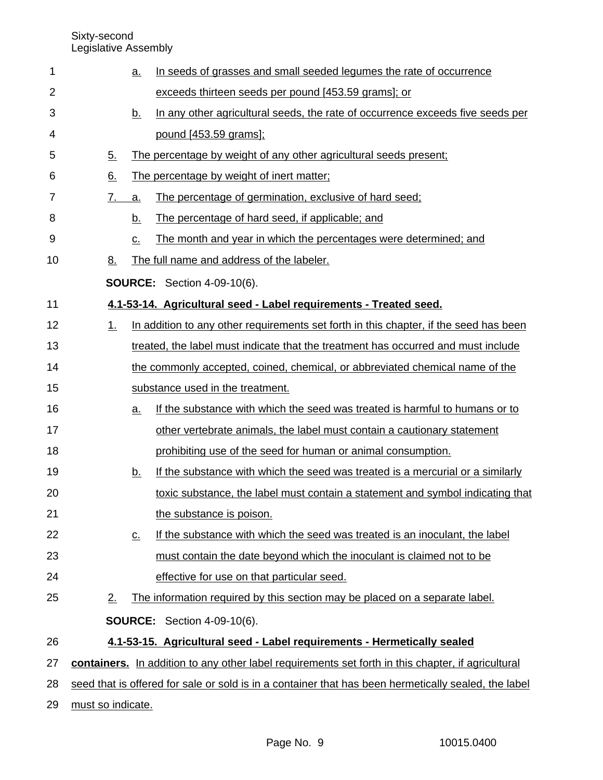Sixty-second

Legislative Assembly

| $\mathbf 1$    |                   | <u>a.</u>                  | In seeds of grasses and small seeded legumes the rate of occurrence                                  |
|----------------|-------------------|----------------------------|------------------------------------------------------------------------------------------------------|
| $\overline{2}$ |                   |                            | exceeds thirteen seeds per pound [453.59 grams]; or                                                  |
| 3              |                   | <u>b.</u>                  | In any other agricultural seeds, the rate of occurrence exceeds five seeds per                       |
| 4              |                   |                            | pound [453.59 grams];                                                                                |
| 5              | <u>5.</u>         |                            | The percentage by weight of any other agricultural seeds present;                                    |
| 6              | <u>6.</u>         |                            | The percentage by weight of inert matter;                                                            |
| 7              | 7.                | a.                         | The percentage of germination, exclusive of hard seed;                                               |
| 8              |                   | <u>b.</u>                  | The percentage of hard seed, if applicable; and                                                      |
| 9              |                   | $\underline{\mathsf{C}}$ . | The month and year in which the percentages were determined; and                                     |
| 10             | <u>8.</u>         |                            | The full name and address of the labeler.                                                            |
|                |                   |                            | <b>SOURCE:</b> Section 4-09-10(6).                                                                   |
| 11             |                   |                            | 4.1-53-14. Agricultural seed - Label requirements - Treated seed.                                    |
| 12             | $1_{-}$           |                            | In addition to any other requirements set forth in this chapter, if the seed has been                |
| 13             |                   |                            | treated, the label must indicate that the treatment has occurred and must include                    |
| 14             |                   |                            | the commonly accepted, coined, chemical, or abbreviated chemical name of the                         |
| 15             |                   |                            | substance used in the treatment.                                                                     |
| 16             |                   | <u>a.</u>                  | If the substance with which the seed was treated is harmful to humans or to                          |
| 17             |                   |                            | other vertebrate animals, the label must contain a cautionary statement                              |
| 18             |                   |                            | prohibiting use of the seed for human or animal consumption.                                         |
| 19             |                   | <u>b.</u>                  | If the substance with which the seed was treated is a mercurial or a similarly                       |
| 20             |                   |                            | toxic substance, the label must contain a statement and symbol indicating that                       |
| 21             |                   |                            | the substance is poison.                                                                             |
| 22             |                   | $\underline{\mathbf{C}}$ . | If the substance with which the seed was treated is an inoculant, the label                          |
| 23             |                   |                            | must contain the date beyond which the inoculant is claimed not to be                                |
| 24             |                   |                            | effective for use on that particular seed.                                                           |
| 25             | 2.                |                            | The information required by this section may be placed on a separate label.                          |
|                |                   |                            | <b>SOURCE:</b> Section 4-09-10(6).                                                                   |
| 26             |                   |                            | 4.1-53-15. Agricultural seed - Label requirements - Hermetically sealed                              |
| 27             |                   |                            | containers. In addition to any other label requirements set forth in this chapter, if agricultural   |
| 28             |                   |                            | seed that is offered for sale or sold is in a container that has been hermetically sealed, the label |
| 29             | must so indicate. |                            |                                                                                                      |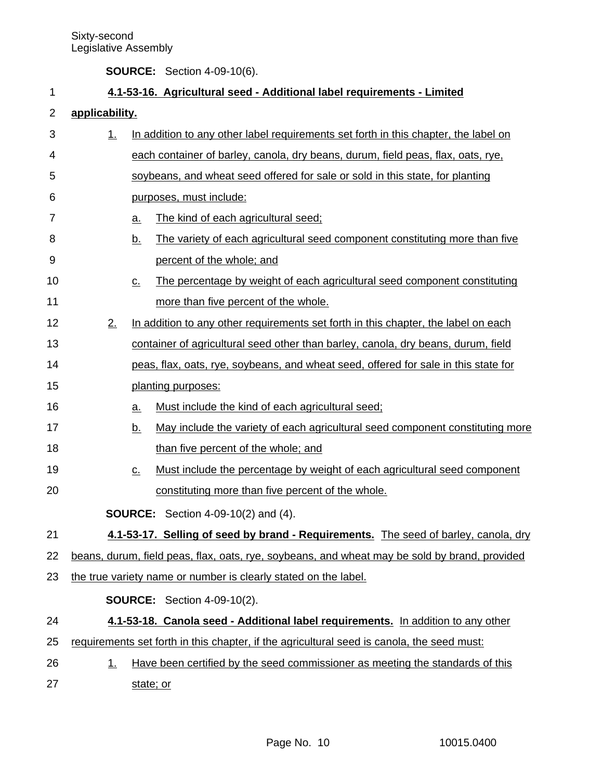**SOURCE:** Section 4-09-10(6).

# **4.1-53-16. Agricultural seed - Additional label requirements - Limited**

## **applicability.** 2

1

| 3  | <u>1.</u> |                                                                                               | In addition to any other label requirements set forth in this chapter, the label on        |  |  |  |  |
|----|-----------|-----------------------------------------------------------------------------------------------|--------------------------------------------------------------------------------------------|--|--|--|--|
| 4  |           |                                                                                               | each container of barley, canola, dry beans, durum, field peas, flax, oats, rye,           |  |  |  |  |
| 5  |           |                                                                                               | soybeans, and wheat seed offered for sale or sold in this state, for planting              |  |  |  |  |
| 6  |           |                                                                                               | purposes, must include:                                                                    |  |  |  |  |
| 7  |           | <u>a.</u>                                                                                     | The kind of each agricultural seed;                                                        |  |  |  |  |
| 8  |           | <u>b.</u>                                                                                     | The variety of each agricultural seed component constituting more than five                |  |  |  |  |
| 9  |           |                                                                                               | percent of the whole; and                                                                  |  |  |  |  |
| 10 |           | $\underline{\mathsf{C}}$ .                                                                    | The percentage by weight of each agricultural seed component constituting                  |  |  |  |  |
| 11 |           |                                                                                               | more than five percent of the whole.                                                       |  |  |  |  |
| 12 | 2.        |                                                                                               | In addition to any other requirements set forth in this chapter, the label on each         |  |  |  |  |
| 13 |           |                                                                                               | container of agricultural seed other than barley, canola, dry beans, durum, field          |  |  |  |  |
| 14 |           |                                                                                               | peas, flax, oats, rye, soybeans, and wheat seed, offered for sale in this state for        |  |  |  |  |
| 15 |           |                                                                                               | planting purposes:                                                                         |  |  |  |  |
| 16 |           | <u>a.</u>                                                                                     | Must include the kind of each agricultural seed;                                           |  |  |  |  |
| 17 |           | <u>b.</u>                                                                                     | May include the variety of each agricultural seed component constituting more              |  |  |  |  |
| 18 |           |                                                                                               | than five percent of the whole; and                                                        |  |  |  |  |
| 19 |           | $\underline{\mathsf{C}}$ .                                                                    | Must include the percentage by weight of each agricultural seed component                  |  |  |  |  |
| 20 |           |                                                                                               | constituting more than five percent of the whole.                                          |  |  |  |  |
|    |           |                                                                                               | <b>SOURCE:</b> Section 4-09-10(2) and (4).                                                 |  |  |  |  |
| 21 |           |                                                                                               | 4.1-53-17. Selling of seed by brand - Requirements. The seed of barley, canola, dry        |  |  |  |  |
| 22 |           | beans, durum, field peas, flax, oats, rye, soybeans, and wheat may be sold by brand, provided |                                                                                            |  |  |  |  |
| 23 |           | the true variety name or number is clearly stated on the label.                               |                                                                                            |  |  |  |  |
|    |           |                                                                                               | <b>SOURCE:</b> Section 4-09-10(2).                                                         |  |  |  |  |
| 24 |           |                                                                                               | 4.1-53-18. Canola seed - Additional label requirements. In addition to any other           |  |  |  |  |
| 25 |           |                                                                                               | requirements set forth in this chapter, if the agricultural seed is canola, the seed must: |  |  |  |  |
| 26 | <u>1.</u> |                                                                                               | Have been certified by the seed commissioner as meeting the standards of this              |  |  |  |  |
| 27 |           | state; or                                                                                     |                                                                                            |  |  |  |  |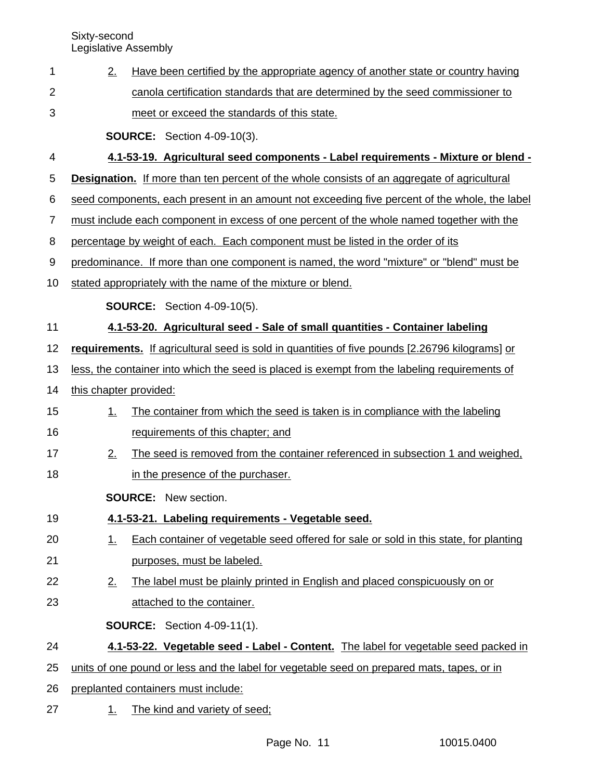|  | Have been certified by the appropriate agency of another state or country having |
|--|----------------------------------------------------------------------------------|
|  | canola certification standards that are determined by the seed commissioner to   |
|  | meet or exceed the standards of this state.                                      |

**SOURCE:** Section 4-09-10(3).

### **4.1-53-19. Agricultural seed components - Label requirements - Mixture or blend -** 4

**Designation.** If more than ten percent of the whole consists of an aggregate of agricultural 5

seed components, each present in an amount not exceeding five percent of the whole, the label 6

- must include each component in excess of one percent of the whole named together with the 7
- percentage by weight of each. Each component must be listed in the order of its 8
- predominance. If more than one component is named, the word "mixture" or "blend" must be 9
- stated appropriately with the name of the mixture or blend. 10

**SOURCE:** Section 4-09-10(5).

### **4.1-53-20. Agricultural seed - Sale of small quantities - Container labeling** 11

**requirements.** If agricultural seed is sold in quantities of five pounds [2.26796 kilograms] or 12

less, the container into which the seed is placed is exempt from the labeling requirements of 13

this chapter provided: 14

23

- 1. The container from which the seed is taken is in compliance with the labeling requirements of this chapter; and 15 16
- 2. The seed is removed from the container referenced in subsection 1 and weighed, 17
- in the presence of the purchaser. 18

**SOURCE:** New section.

- **4.1-53-21. Labeling requirements Vegetable seed.** 19
- 1. Each container of vegetable seed offered for sale or sold in this state, for planting purposes, must be labeled. 20 21
- 2. The label must be plainly printed in English and placed conspicuously on or 22
	- attached to the container.

**SOURCE:** Section 4-09-11(1).

### **4.1-53-22. Vegetable seed - Label - Content.** The label for vegetable seed packed in 24

- units of one pound or less and the label for vegetable seed on prepared mats, tapes, or in 25
- preplanted containers must include: 26
- 1. The kind and variety of seed; 27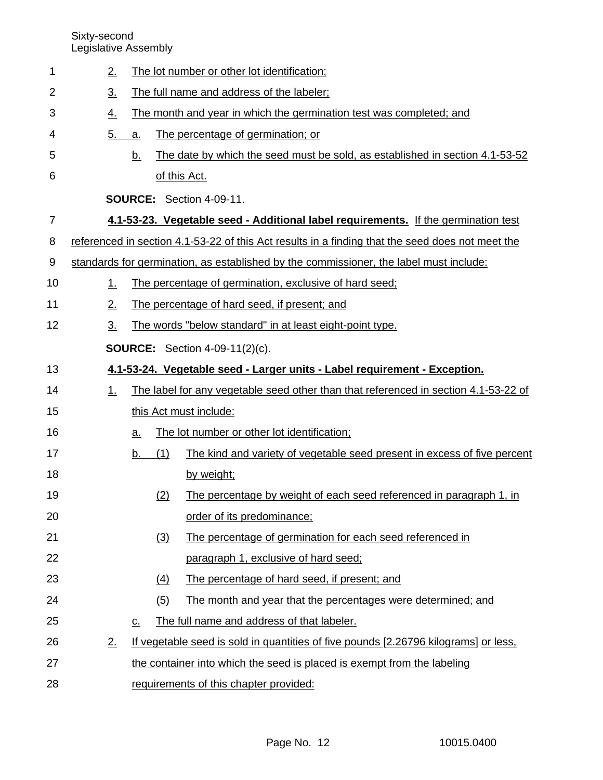| 1  |                                       | 2.                |                   |                                           | The lot number or other lot identification;                                                      |  |  |  |
|----|---------------------------------------|-------------------|-------------------|-------------------------------------------|--------------------------------------------------------------------------------------------------|--|--|--|
| 2  |                                       | $\underline{3}$ . |                   | The full name and address of the labeler; |                                                                                                  |  |  |  |
| 3  |                                       | <u>4.</u>         |                   |                                           | The month and year in which the germination test was completed; and                              |  |  |  |
| 4  |                                       | $\underline{5}$ . | a.                |                                           | The percentage of germination; or                                                                |  |  |  |
| 5  |                                       |                   | <u>b.</u>         |                                           | The date by which the seed must be sold, as established in section 4.1-53-52                     |  |  |  |
| 6  |                                       |                   |                   |                                           | of this Act.                                                                                     |  |  |  |
|    |                                       |                   |                   |                                           | <b>SOURCE: Section 4-09-11.</b>                                                                  |  |  |  |
| 7  |                                       |                   |                   |                                           | 4.1-53-23. Vegetable seed - Additional label requirements. If the germination test               |  |  |  |
| 8  |                                       |                   |                   |                                           | referenced in section 4.1-53-22 of this Act results in a finding that the seed does not meet the |  |  |  |
| 9  |                                       |                   |                   |                                           | standards for germination, as established by the commissioner, the label must include:           |  |  |  |
| 10 |                                       | 1.                |                   |                                           | The percentage of germination, exclusive of hard seed;                                           |  |  |  |
| 11 |                                       | 2.                |                   |                                           | The percentage of hard seed, if present; and                                                     |  |  |  |
| 12 |                                       | 3 <sub>1</sub>    |                   |                                           | The words "below standard" in at least eight-point type.                                         |  |  |  |
|    | <b>SOURCE:</b> Section 4-09-11(2)(c). |                   |                   |                                           |                                                                                                  |  |  |  |
| 13 |                                       |                   |                   |                                           | 4.1-53-24. Vegetable seed - Larger units - Label requirement - Exception.                        |  |  |  |
| 14 |                                       | <u>1.</u>         |                   |                                           | The label for any vegetable seed other than that referenced in section 4.1-53-22 of              |  |  |  |
| 15 |                                       |                   |                   |                                           | this Act must include:                                                                           |  |  |  |
| 16 |                                       |                   | <u>a.</u>         |                                           | The lot number or other lot identification;                                                      |  |  |  |
| 17 |                                       |                   | b.                | (1)                                       | The kind and variety of vegetable seed present in excess of five percent                         |  |  |  |
| 18 |                                       |                   |                   |                                           | by weight;                                                                                       |  |  |  |
| 19 |                                       |                   |                   | (2)                                       | The percentage by weight of each seed referenced in paragraph 1, in                              |  |  |  |
| 20 |                                       |                   |                   |                                           | order of its predominance;                                                                       |  |  |  |
| 21 |                                       |                   |                   | (3)                                       | The percentage of germination for each seed referenced in                                        |  |  |  |
| 22 |                                       |                   |                   |                                           | paragraph 1, exclusive of hard seed;                                                             |  |  |  |
| 23 |                                       |                   |                   | $\left(4\right)$                          | The percentage of hard seed, if present; and                                                     |  |  |  |
| 24 |                                       |                   |                   | (5)                                       | The month and year that the percentages were determined; and                                     |  |  |  |
| 25 |                                       |                   | $\underline{C}$ . |                                           | The full name and address of that labeler.                                                       |  |  |  |
| 26 |                                       | 2.                |                   |                                           | If vegetable seed is sold in quantities of five pounds [2.26796 kilograms] or less,              |  |  |  |
| 27 |                                       |                   |                   |                                           | the container into which the seed is placed is exempt from the labeling                          |  |  |  |
| 28 |                                       |                   |                   |                                           | requirements of this chapter provided:                                                           |  |  |  |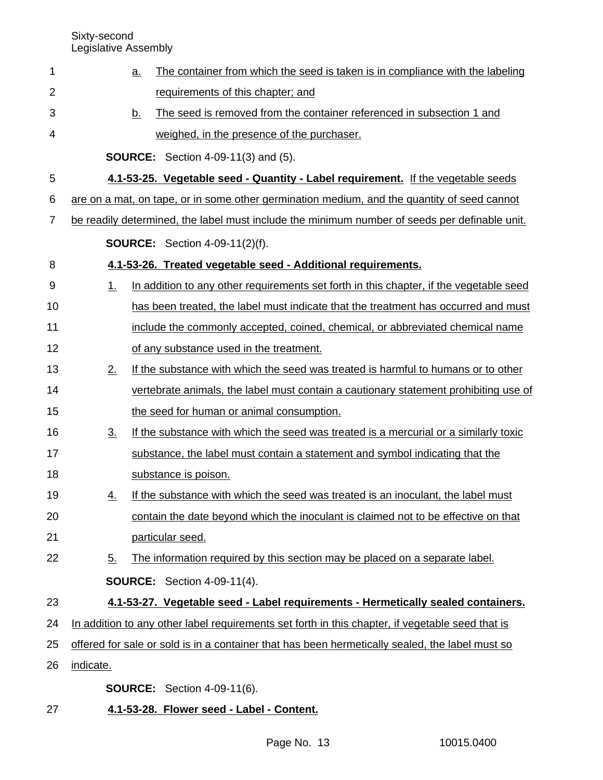| 1              | <u>a.</u>         | The container from which the seed is taken is in compliance with the labeling                    |  |  |  |  |
|----------------|-------------------|--------------------------------------------------------------------------------------------------|--|--|--|--|
| $\overline{2}$ |                   | requirements of this chapter; and                                                                |  |  |  |  |
| 3              | <u>b.</u>         | The seed is removed from the container referenced in subsection 1 and                            |  |  |  |  |
| 4              |                   | weighed, in the presence of the purchaser.                                                       |  |  |  |  |
|                |                   | <b>SOURCE:</b> Section 4-09-11(3) and (5).                                                       |  |  |  |  |
| 5              |                   | 4.1-53-25. Vegetable seed - Quantity - Label requirement. If the vegetable seeds                 |  |  |  |  |
| 6              |                   | are on a mat, on tape, or in some other germination medium, and the quantity of seed cannot      |  |  |  |  |
| 7              |                   | be readily determined, the label must include the minimum number of seeds per definable unit.    |  |  |  |  |
|                |                   | <b>SOURCE:</b> Section 4-09-11(2)(f).                                                            |  |  |  |  |
| 8              |                   | 4.1-53-26. Treated vegetable seed - Additional requirements.                                     |  |  |  |  |
| 9              | 1.                | In addition to any other requirements set forth in this chapter, if the vegetable seed           |  |  |  |  |
| 10             |                   | has been treated, the label must indicate that the treatment has occurred and must               |  |  |  |  |
| 11             |                   | include the commonly accepted, coined, chemical, or abbreviated chemical name                    |  |  |  |  |
| 12             |                   | of any substance used in the treatment.                                                          |  |  |  |  |
| 13             | 2.                | If the substance with which the seed was treated is harmful to humans or to other                |  |  |  |  |
| 14             |                   | vertebrate animals, the label must contain a cautionary statement prohibiting use of             |  |  |  |  |
| 15             |                   | the seed for human or animal consumption.                                                        |  |  |  |  |
| 16             | $\underline{3}$ . | If the substance with which the seed was treated is a mercurial or a similarly toxic             |  |  |  |  |
| 17             |                   | substance, the label must contain a statement and symbol indicating that the                     |  |  |  |  |
| 18             |                   | substance is poison.                                                                             |  |  |  |  |
| 19             | <u>4.</u>         | If the substance with which the seed was treated is an inoculant, the label must                 |  |  |  |  |
| 20             |                   | contain the date beyond which the inoculant is claimed not to be effective on that               |  |  |  |  |
| 21             |                   | particular seed.                                                                                 |  |  |  |  |
| 22             | $\underline{5}$ . | The information required by this section may be placed on a separate label.                      |  |  |  |  |
|                |                   | <b>SOURCE:</b> Section 4-09-11(4).                                                               |  |  |  |  |
| 23             |                   | 4.1-53-27. Vegetable seed - Label requirements - Hermetically sealed containers.                 |  |  |  |  |
| 24             |                   | In addition to any other label requirements set forth in this chapter, if vegetable seed that is |  |  |  |  |
| 25             |                   | offered for sale or sold is in a container that has been hermetically sealed, the label must so  |  |  |  |  |
| 26             | indicate.         |                                                                                                  |  |  |  |  |
|                |                   | <b>SOURCE:</b> Section 4-09-11(6).                                                               |  |  |  |  |
|                |                   |                                                                                                  |  |  |  |  |

**4.1-53-28. Flower seed - Label - Content.** 27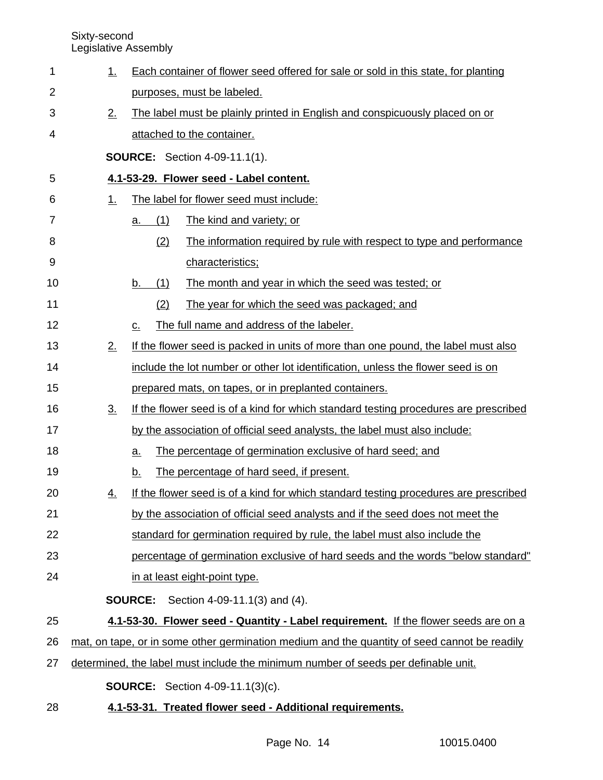| 1  | <u>1.</u>      | Each container of flower seed offered for sale or sold in this state, for planting           |  |  |  |  |
|----|----------------|----------------------------------------------------------------------------------------------|--|--|--|--|
| 2  |                | purposes, must be labeled.                                                                   |  |  |  |  |
| 3  | 2.             | The label must be plainly printed in English and conspicuously placed on or                  |  |  |  |  |
| 4  |                | attached to the container.                                                                   |  |  |  |  |
|    |                | <b>SOURCE:</b> Section 4-09-11.1(1).                                                         |  |  |  |  |
| 5  |                | 4.1-53-29. Flower seed - Label content.                                                      |  |  |  |  |
| 6  | <u>1.</u>      | The label for flower seed must include:                                                      |  |  |  |  |
| 7  |                | The kind and variety; or<br>(1)<br>a.                                                        |  |  |  |  |
| 8  |                | The information required by rule with respect to type and performance<br>(2)                 |  |  |  |  |
| 9  |                | characteristics;                                                                             |  |  |  |  |
| 10 |                | (1)<br>The month and year in which the seed was tested; or<br>b.                             |  |  |  |  |
| 11 |                | (2)<br>The year for which the seed was packaged; and                                         |  |  |  |  |
| 12 |                | The full name and address of the labeler.<br>$C_{-}$                                         |  |  |  |  |
| 13 | 2.             | If the flower seed is packed in units of more than one pound, the label must also            |  |  |  |  |
| 14 |                | include the lot number or other lot identification, unless the flower seed is on             |  |  |  |  |
| 15 |                | prepared mats, on tapes, or in preplanted containers.                                        |  |  |  |  |
| 16 | 3 <sub>1</sub> | If the flower seed is of a kind for which standard testing procedures are prescribed         |  |  |  |  |
| 17 |                | by the association of official seed analysts, the label must also include:                   |  |  |  |  |
| 18 |                | The percentage of germination exclusive of hard seed; and<br>$\underline{a}$ .               |  |  |  |  |
| 19 |                | The percentage of hard seed, if present.<br><u>b.</u>                                        |  |  |  |  |
| 20 | <u>4.</u>      | If the flower seed is of a kind for which standard testing procedures are prescribed         |  |  |  |  |
| 21 |                | by the association of official seed analysts and if the seed does not meet the               |  |  |  |  |
| 22 |                | standard for germination required by rule, the label must also include the                   |  |  |  |  |
| 23 |                | percentage of germination exclusive of hard seeds and the words "below standard"             |  |  |  |  |
| 24 |                | in at least eight-point type.                                                                |  |  |  |  |
|    |                | <b>SOURCE:</b><br>Section 4-09-11.1(3) and (4).                                              |  |  |  |  |
| 25 |                | 4.1-53-30. Flower seed - Quantity - Label requirement. If the flower seeds are on a          |  |  |  |  |
| 26 |                | mat, on tape, or in some other germination medium and the quantity of seed cannot be readily |  |  |  |  |
| 27 |                | determined, the label must include the minimum number of seeds per definable unit.           |  |  |  |  |
|    |                | <b>SOURCE:</b> Section 4-09-11.1(3)(c).                                                      |  |  |  |  |
| 28 |                | 4.1-53-31. Treated flower seed - Additional requirements.                                    |  |  |  |  |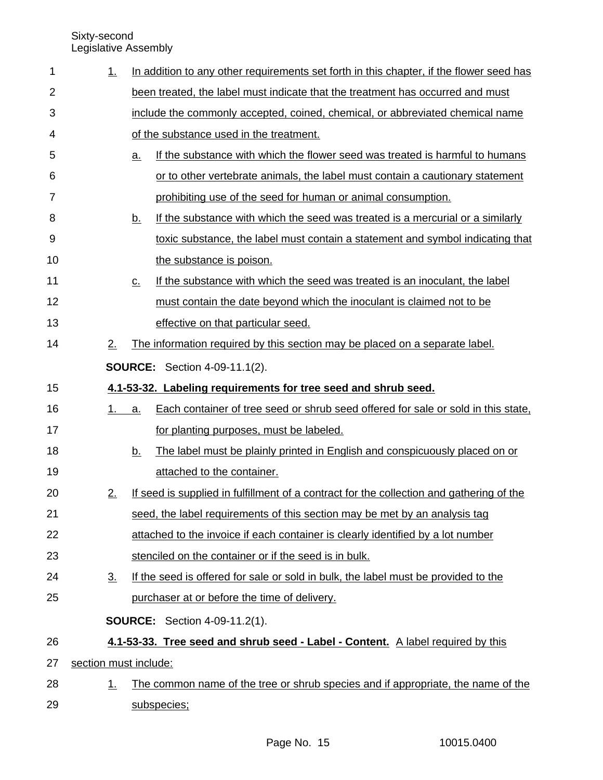| 1  | 1.                | In addition to any other requirements set forth in this chapter, if the flower seed has     |  |  |  |
|----|-------------------|---------------------------------------------------------------------------------------------|--|--|--|
| 2  |                   | been treated, the label must indicate that the treatment has occurred and must              |  |  |  |
| 3  |                   | include the commonly accepted, coined, chemical, or abbreviated chemical name               |  |  |  |
| 4  |                   | of the substance used in the treatment.                                                     |  |  |  |
| 5  |                   | If the substance with which the flower seed was treated is harmful to humans<br><u>a.</u>   |  |  |  |
| 6  |                   | or to other vertebrate animals, the label must contain a cautionary statement               |  |  |  |
| 7  |                   | prohibiting use of the seed for human or animal consumption.                                |  |  |  |
| 8  |                   | If the substance with which the seed was treated is a mercurial or a similarly<br><u>b.</u> |  |  |  |
| 9  |                   | toxic substance, the label must contain a statement and symbol indicating that              |  |  |  |
| 10 |                   | the substance is poison.                                                                    |  |  |  |
| 11 |                   | If the substance with which the seed was treated is an inoculant, the label<br><u>C.</u>    |  |  |  |
| 12 |                   | must contain the date beyond which the inoculant is claimed not to be                       |  |  |  |
| 13 |                   | effective on that particular seed.                                                          |  |  |  |
| 14 | 2.                | The information required by this section may be placed on a separate label.                 |  |  |  |
|    |                   | <b>SOURCE:</b> Section 4-09-11.1(2).                                                        |  |  |  |
| 15 |                   | 4.1-53-32. Labeling requirements for tree seed and shrub seed.                              |  |  |  |
| 16 | 1.                | Each container of tree seed or shrub seed offered for sale or sold in this state,<br>a.     |  |  |  |
| 17 |                   | for planting purposes, must be labeled.                                                     |  |  |  |
| 18 |                   | <u>b.</u><br>The label must be plainly printed in English and conspicuously placed on or    |  |  |  |
| 19 |                   | attached to the container.                                                                  |  |  |  |
| 20 | 2.                | If seed is supplied in fulfillment of a contract for the collection and gathering of the    |  |  |  |
| 21 |                   | seed, the label requirements of this section may be met by an analysis tag                  |  |  |  |
| 22 |                   | attached to the invoice if each container is clearly identified by a lot number             |  |  |  |
| 23 |                   | stenciled on the container or if the seed is in bulk.                                       |  |  |  |
| 24 | $\underline{3}$ . | If the seed is offered for sale or sold in bulk, the label must be provided to the          |  |  |  |
| 25 |                   | purchaser at or before the time of delivery.                                                |  |  |  |
|    |                   | <b>SOURCE:</b> Section 4-09-11.2(1).                                                        |  |  |  |
| 26 |                   | 4.1-53-33. Tree seed and shrub seed - Label - Content. A label required by this             |  |  |  |
| 27 |                   | section must include:                                                                       |  |  |  |
| 28 | $\perp$           | The common name of the tree or shrub species and if appropriate, the name of the            |  |  |  |
| 29 |                   | subspecies;                                                                                 |  |  |  |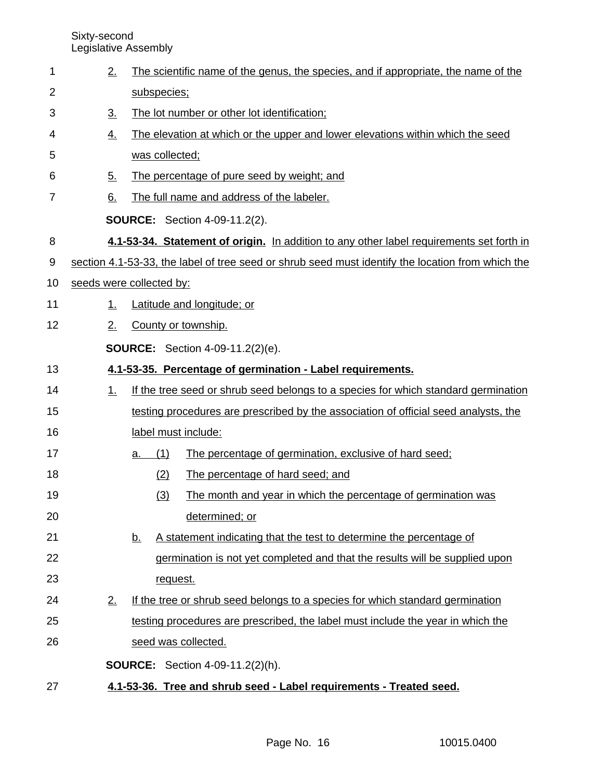2. The scientific name of the genus, the species, and if appropriate, the name of the subspecies; 3. The lot number or other lot identification; 4. The elevation at which or the upper and lower elevations within which the seed was collected; 5. The percentage of pure seed by weight; and 6. The full name and address of the labeler. **SOURCE:** Section 4-09-11.2(2). **4.1-53-34. Statement of origin.** In addition to any other label requirements set forth in section 4.1-53-33, the label of tree seed or shrub seed must identify the location from which the seeds were collected by: 1. Latitude and longitude; or 2. County or township. **SOURCE:** Section 4-09-11.2(2)(e). **4.1-53-35. Percentage of germination - Label requirements.** 1. If the tree seed or shrub seed belongs to a species for which standard germination testing procedures are prescribed by the association of official seed analysts, the label must include: a. (1) The percentage of germination, exclusive of hard seed; (2) The percentage of hard seed; and (3) The month and year in which the percentage of germination was determined; or b. A statement indicating that the test to determine the percentage of germination is not yet completed and that the results will be supplied upon request. 2. If the tree or shrub seed belongs to a species for which standard germination testing procedures are prescribed, the label must include the year in which the seed was collected. **SOURCE:** Section 4-09-11.2(2)(h). **4.1-53-36. Tree and shrub seed - Label requirements - Treated seed.** 1 2 3 4 5 6 7 8 9 10 11 12 13 14 15 16 17 18 19 20 21 22 23 24 25 26 27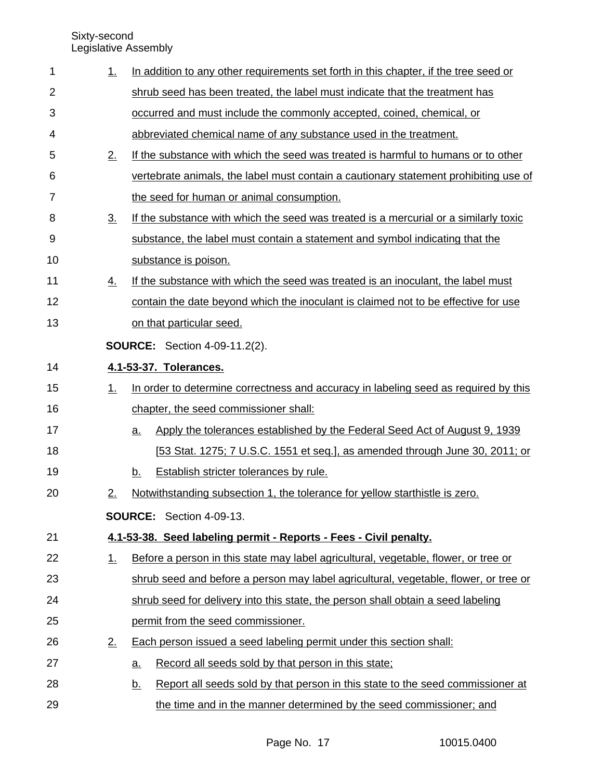| 1  | <u>1.</u>         | In addition to any other requirements set forth in this chapter, if the tree seed or        |
|----|-------------------|---------------------------------------------------------------------------------------------|
| 2  |                   | shrub seed has been treated, the label must indicate that the treatment has                 |
| 3  |                   | occurred and must include the commonly accepted, coined, chemical, or                       |
| 4  |                   | abbreviated chemical name of any substance used in the treatment.                           |
| 5  | 2.                | If the substance with which the seed was treated is harmful to humans or to other           |
| 6  |                   | vertebrate animals, the label must contain a cautionary statement prohibiting use of        |
| 7  |                   | the seed for human or animal consumption.                                                   |
| 8  | $\underline{3}$ . | If the substance with which the seed was treated is a mercurial or a similarly toxic        |
| 9  |                   | substance, the label must contain a statement and symbol indicating that the                |
| 10 |                   | substance is poison.                                                                        |
| 11 | <u>4.</u>         | If the substance with which the seed was treated is an inoculant, the label must            |
| 12 |                   | contain the date beyond which the inoculant is claimed not to be effective for use          |
| 13 |                   | on that particular seed.                                                                    |
|    |                   | <b>SOURCE:</b> Section 4-09-11.2(2).                                                        |
| 14 |                   | 4.1-53-37. Tolerances.                                                                      |
| 15 | 1.                | In order to determine correctness and accuracy in labeling seed as required by this         |
| 16 |                   | chapter, the seed commissioner shall:                                                       |
| 17 |                   | Apply the tolerances established by the Federal Seed Act of August 9, 1939<br><u>a.</u>     |
| 18 |                   | [53 Stat. 1275; 7 U.S.C. 1551 et seq.], as amended through June 30, 2011; or                |
| 19 |                   | Establish stricter tolerances by rule.<br>b.                                                |
| 20 | 2.                | Notwithstanding subsection 1, the tolerance for yellow starthistle is zero.                 |
|    |                   | <b>SOURCE:</b> Section 4-09-13.                                                             |
| 21 |                   | 4.1-53-38. Seed labeling permit - Reports - Fees - Civil penalty.                           |
| 22 | <u>1.</u>         | Before a person in this state may label agricultural, vegetable, flower, or tree or         |
| 23 |                   | shrub seed and before a person may label agricultural, vegetable, flower, or tree or        |
| 24 |                   | shrub seed for delivery into this state, the person shall obtain a seed labeling            |
| 25 |                   | permit from the seed commissioner.                                                          |
| 26 | 2.                | Each person issued a seed labeling permit under this section shall:                         |
| 27 |                   | Record all seeds sold by that person in this state;<br>$\underline{a}$ .                    |
| 28 |                   | Report all seeds sold by that person in this state to the seed commissioner at<br><u>b.</u> |
| 29 |                   | the time and in the manner determined by the seed commissioner; and                         |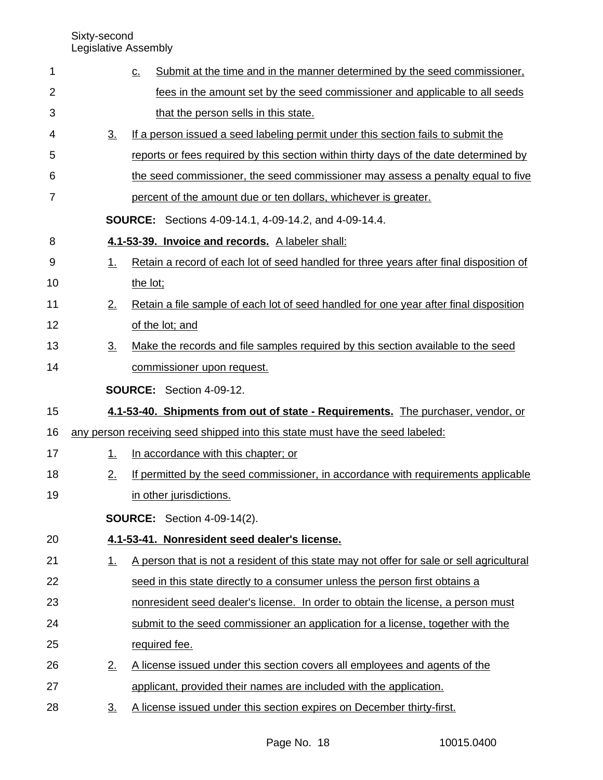| 1  |                   | Submit at the time and in the manner determined by the seed commissioner,<br>$\underline{C}$ . |
|----|-------------------|------------------------------------------------------------------------------------------------|
| 2  |                   | fees in the amount set by the seed commissioner and applicable to all seeds                    |
| 3  |                   | that the person sells in this state.                                                           |
| 4  | $\underline{3}$ . | If a person issued a seed labeling permit under this section fails to submit the               |
| 5  |                   | reports or fees required by this section within thirty days of the date determined by          |
| 6  |                   | the seed commissioner, the seed commissioner may assess a penalty equal to five                |
| 7  |                   | percent of the amount due or ten dollars, whichever is greater.                                |
|    |                   | <b>SOURCE:</b> Sections 4-09-14.1, 4-09-14.2, and 4-09-14.4.                                   |
| 8  |                   | 4.1-53-39. Invoice and records. A labeler shall:                                               |
| 9  | 1.                | Retain a record of each lot of seed handled for three years after final disposition of         |
| 10 |                   | the lot;                                                                                       |
| 11 | 2.                | Retain a file sample of each lot of seed handled for one year after final disposition          |
| 12 |                   | of the lot; and                                                                                |
| 13 | $3_{-}$           | Make the records and file samples required by this section available to the seed               |
| 14 |                   | commissioner upon request.                                                                     |
|    |                   | <b>SOURCE:</b> Section 4-09-12.                                                                |
| 15 |                   | 4.1-53-40. Shipments from out of state - Requirements. The purchaser, vendor, or               |
| 16 |                   | any person receiving seed shipped into this state must have the seed labeled:                  |
| 17 | 1.                | In accordance with this chapter; or                                                            |
| 18 | 2.                | If permitted by the seed commissioner, in accordance with requirements applicable              |
| 19 |                   | in other jurisdictions.                                                                        |
|    |                   | <b>SOURCE:</b> Section 4-09-14(2).                                                             |
| 20 |                   | 4.1-53-41. Nonresident seed dealer's license.                                                  |
| 21 | $\perp$           | A person that is not a resident of this state may not offer for sale or sell agricultural      |
| 22 |                   | seed in this state directly to a consumer unless the person first obtains a                    |
| 23 |                   | nonresident seed dealer's license. In order to obtain the license, a person must               |
| 24 |                   | submit to the seed commissioner an application for a license, together with the                |
| 25 |                   | required fee.                                                                                  |
| 26 | 2.                | A license issued under this section covers all employees and agents of the                     |
| 27 |                   | applicant, provided their names are included with the application.                             |
| 28 | 3 <sub>1</sub>    | A license issued under this section expires on December thirty-first.                          |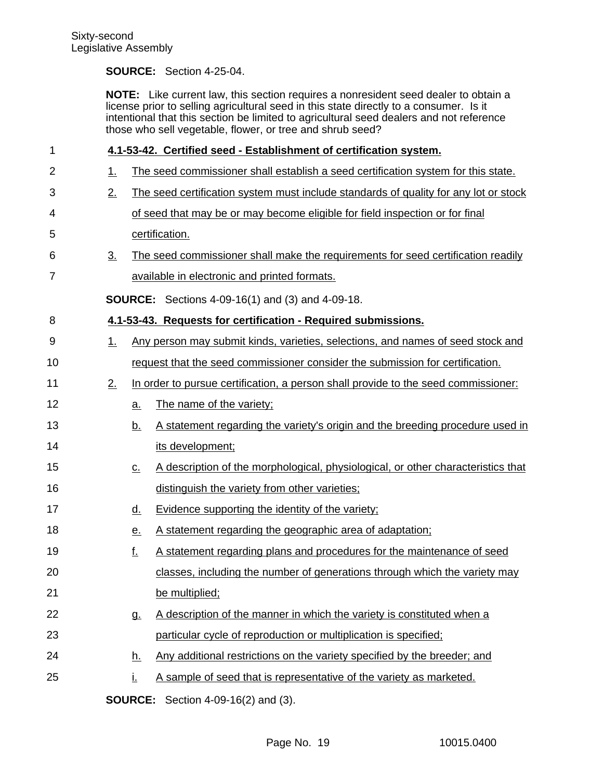### **SOURCE:** Section 4-25-04.

**NOTE:** Like current law, this section requires a nonresident seed dealer to obtain a license prior to selling agricultural seed in this state directly to a consumer. Is it intentional that this section be limited to agricultural seed dealers and not reference those who sell vegetable, flower, or tree and shrub seed?

| 1              |                   |                            | 4.1-53-42. Certified seed - Establishment of certification system.                   |  |  |  |
|----------------|-------------------|----------------------------|--------------------------------------------------------------------------------------|--|--|--|
| $\overline{2}$ | <u>1.</u>         |                            | The seed commissioner shall establish a seed certification system for this state.    |  |  |  |
| 3              | 2.                |                            | The seed certification system must include standards of quality for any lot or stock |  |  |  |
| 4              |                   |                            | of seed that may be or may become eligible for field inspection or for final         |  |  |  |
| 5              |                   |                            | certification.                                                                       |  |  |  |
| 6              | $\underline{3}$ . |                            | The seed commissioner shall make the requirements for seed certification readily     |  |  |  |
| $\overline{7}$ |                   |                            | available in electronic and printed formats.                                         |  |  |  |
|                |                   |                            | <b>SOURCE:</b> Sections 4-09-16(1) and (3) and 4-09-18.                              |  |  |  |
| 8              |                   |                            | 4.1-53-43. Requests for certification - Required submissions.                        |  |  |  |
| 9              | 1.                |                            | Any person may submit kinds, varieties, selections, and names of seed stock and      |  |  |  |
| 10             |                   |                            | request that the seed commissioner consider the submission for certification.        |  |  |  |
| 11             | 2.                |                            | In order to pursue certification, a person shall provide to the seed commissioner:   |  |  |  |
| 12             |                   | $\underline{a}$ .          | The name of the variety;                                                             |  |  |  |
| 13             |                   | <u>b.</u>                  | A statement regarding the variety's origin and the breeding procedure used in        |  |  |  |
| 14             |                   |                            | its development;                                                                     |  |  |  |
| 15             |                   | $\underline{\mathsf{C}}$ . | A description of the morphological, physiological, or other characteristics that     |  |  |  |
| 16             |                   |                            | distinguish the variety from other varieties;                                        |  |  |  |
| 17             |                   | <u>d.</u>                  | Evidence supporting the identity of the variety;                                     |  |  |  |
| 18             |                   | <u>e.</u>                  | A statement regarding the geographic area of adaptation;                             |  |  |  |
| 19             |                   | <u>f.</u>                  | A statement regarding plans and procedures for the maintenance of seed               |  |  |  |
| 20             |                   |                            | classes, including the number of generations through which the variety may           |  |  |  |
| 21             |                   |                            | be multiplied;                                                                       |  |  |  |
| 22             |                   | g.                         | A description of the manner in which the variety is constituted when a               |  |  |  |
| 23             |                   |                            | particular cycle of reproduction or multiplication is specified;                     |  |  |  |
| 24             |                   | <u>h.</u>                  | Any additional restrictions on the variety specified by the breeder; and             |  |  |  |
| 25             |                   | Ĺ.                         | A sample of seed that is representative of the variety as marketed.                  |  |  |  |
|                |                   |                            | <b>SOURCE:</b> Section 4-09-16(2) and (3).                                           |  |  |  |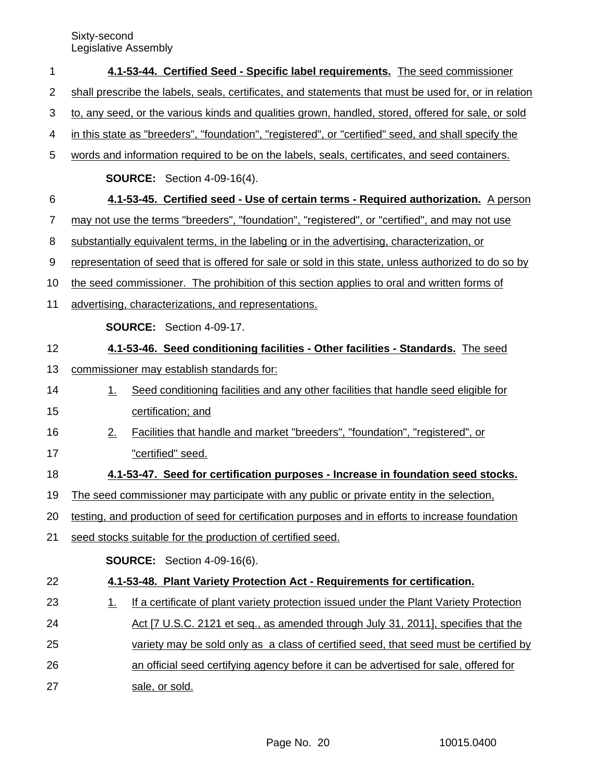| 1              |                                                                                                    | 4.1-53-44. Certified Seed - Specific label requirements. The seed commissioner                        |  |  |  |  |
|----------------|----------------------------------------------------------------------------------------------------|-------------------------------------------------------------------------------------------------------|--|--|--|--|
| $\overline{2}$ |                                                                                                    | shall prescribe the labels, seals, certificates, and statements that must be used for, or in relation |  |  |  |  |
| 3              | to, any seed, or the various kinds and qualities grown, handled, stored, offered for sale, or sold |                                                                                                       |  |  |  |  |
| 4              |                                                                                                    | in this state as "breeders", "foundation", "registered", or "certified" seed, and shall specify the   |  |  |  |  |
| 5              |                                                                                                    | words and information required to be on the labels, seals, certificates, and seed containers.         |  |  |  |  |
|                |                                                                                                    | <b>SOURCE:</b> Section 4-09-16(4).                                                                    |  |  |  |  |
| 6              |                                                                                                    | 4.1-53-45. Certified seed - Use of certain terms - Required authorization. A person                   |  |  |  |  |
| $\overline{7}$ |                                                                                                    | may not use the terms "breeders", "foundation", "registered", or "certified", and may not use         |  |  |  |  |
| 8              |                                                                                                    | substantially equivalent terms, in the labeling or in the advertising, characterization, or           |  |  |  |  |
| 9              |                                                                                                    | representation of seed that is offered for sale or sold in this state, unless authorized to do so by  |  |  |  |  |
| 10             |                                                                                                    | the seed commissioner. The prohibition of this section applies to oral and written forms of           |  |  |  |  |
| 11             |                                                                                                    | advertising, characterizations, and representations.                                                  |  |  |  |  |
|                |                                                                                                    | <b>SOURCE:</b> Section 4-09-17.                                                                       |  |  |  |  |
| 12             |                                                                                                    | 4.1-53-46. Seed conditioning facilities - Other facilities - Standards. The seed                      |  |  |  |  |
| 13             |                                                                                                    | commissioner may establish standards for:                                                             |  |  |  |  |
| 14             | <u>1.</u>                                                                                          | Seed conditioning facilities and any other facilities that handle seed eligible for                   |  |  |  |  |
| 15             |                                                                                                    | certification; and                                                                                    |  |  |  |  |
| 16             | 2.                                                                                                 | Facilities that handle and market "breeders", "foundation", "registered", or                          |  |  |  |  |
| 17             |                                                                                                    | "certified" seed.                                                                                     |  |  |  |  |
| 18             |                                                                                                    | 4.1-53-47. Seed for certification purposes - Increase in foundation seed stocks.                      |  |  |  |  |
| 19             |                                                                                                    | The seed commissioner may participate with any public or private entity in the selection,             |  |  |  |  |
| 20             |                                                                                                    | testing, and production of seed for certification purposes and in efforts to increase foundation      |  |  |  |  |
| 21             |                                                                                                    | seed stocks suitable for the production of certified seed.                                            |  |  |  |  |
|                |                                                                                                    | <b>SOURCE:</b> Section 4-09-16(6).                                                                    |  |  |  |  |
| 22             |                                                                                                    | 4.1-53-48. Plant Variety Protection Act - Requirements for certification.                             |  |  |  |  |
| 23             | <u>1.</u>                                                                                          | If a certificate of plant variety protection issued under the Plant Variety Protection                |  |  |  |  |
| 24             |                                                                                                    | Act [7 U.S.C. 2121 et seq., as amended through July 31, 2011], specifies that the                     |  |  |  |  |
| 25             |                                                                                                    | variety may be sold only as a class of certified seed, that seed must be certified by                 |  |  |  |  |
| 26             |                                                                                                    | an official seed certifying agency before it can be advertised for sale, offered for                  |  |  |  |  |
| 27             |                                                                                                    | sale, or sold.                                                                                        |  |  |  |  |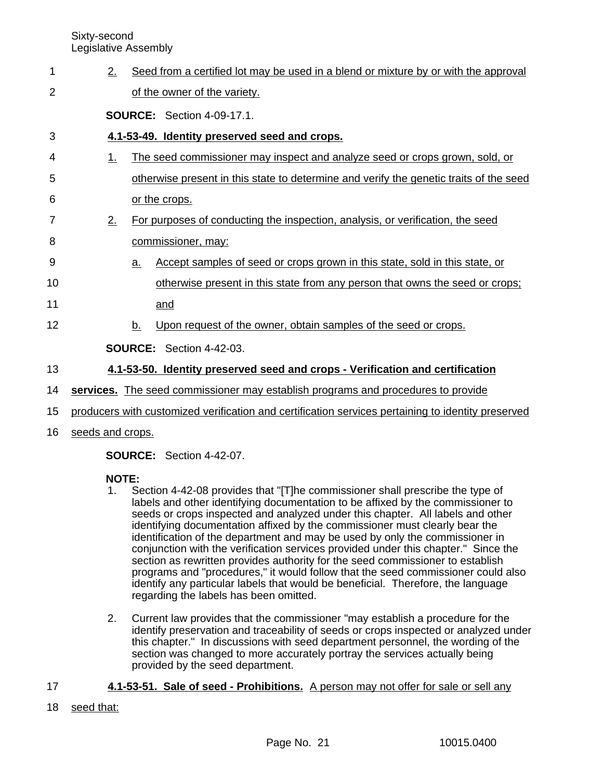| 1  | 2.        | Seed from a certified lot may be used in a blend or mixture by or with the approval                |
|----|-----------|----------------------------------------------------------------------------------------------------|
| 2  |           | of the owner of the variety.                                                                       |
|    |           | <b>SOURCE:</b> Section 4-09-17.1.                                                                  |
| 3  |           | 4.1-53-49. Identity preserved seed and crops.                                                      |
| 4  | $1_{-}$   | The seed commissioner may inspect and analyze seed or crops grown, sold, or                        |
| 5  |           | otherwise present in this state to determine and verify the genetic traits of the seed             |
| 6  |           | or the crops.                                                                                      |
| 7  | 2.        | For purposes of conducting the inspection, analysis, or verification, the seed                     |
| 8  |           | commissioner, may:                                                                                 |
| 9  | <u>a.</u> | Accept samples of seed or crops grown in this state, sold in this state, or                        |
| 10 |           | otherwise present in this state from any person that owns the seed or crops;                       |
| 11 |           | and                                                                                                |
| 12 | b.        | Upon request of the owner, obtain samples of the seed or crops.                                    |
|    |           | <b>SOURCE:</b> Section 4-42-03.                                                                    |
| 13 |           | 4.1-53-50. Identity preserved seed and crops - Verification and certification                      |
| 14 |           | services. The seed commissioner may establish programs and procedures to provide                   |
| 15 |           | producers with customized verification and certification services pertaining to identity preserved |
|    |           |                                                                                                    |

16 seeds and crops.

**SOURCE:** Section 4-42-07.

### **NOTE:**

- 1. Section 4-42-08 provides that "[T]he commissioner shall prescribe the type of labels and other identifying documentation to be affixed by the commissioner to seeds or crops inspected and analyzed under this chapter. All labels and other identifying documentation affixed by the commissioner must clearly bear the identification of the department and may be used by only the commissioner in conjunction with the verification services provided under this chapter." Since the section as rewritten provides authority for the seed commissioner to establish programs and "procedures," it would follow that the seed commissioner could also identify any particular labels that would be beneficial. Therefore, the language regarding the labels has been omitted.
- 2. Current law provides that the commissioner "may establish a procedure for the identify preservation and traceability of seeds or crops inspected or analyzed under this chapter." In discussions with seed department personnel, the wording of the section was changed to more accurately portray the services actually being provided by the seed department.
- **4.1-53-51. Sale of seed Prohibitions.** A person may not offer for sale or sell any 17
- seed that: 18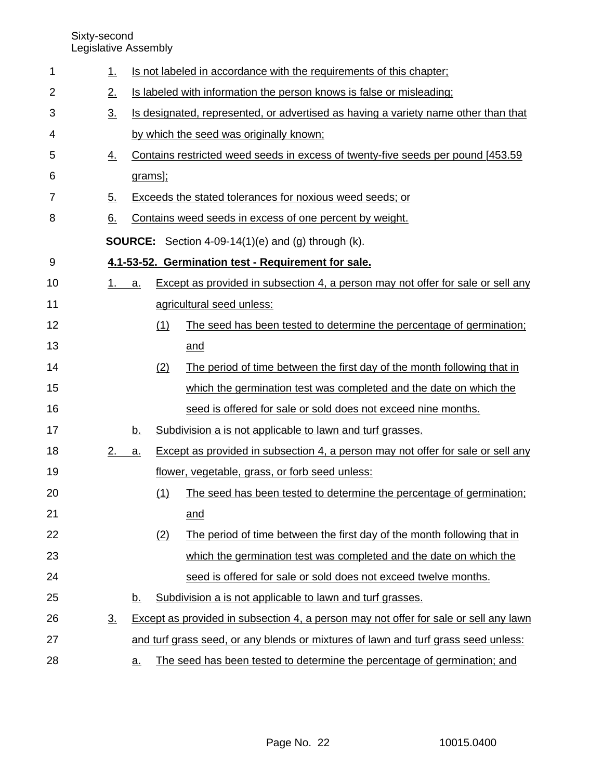| 1  | 1.               |           |     | Is not labeled in accordance with the requirements of this chapter;                  |
|----|------------------|-----------|-----|--------------------------------------------------------------------------------------|
| 2  | 2.               |           |     | Is labeled with information the person knows is false or misleading;                 |
| 3  | 3 <sub>1</sub>   |           |     | Is designated, represented, or advertised as having a variety name other than that   |
| 4  |                  |           |     | by which the seed was originally known;                                              |
| 5  | $\overline{4}$ . |           |     | Contains restricted weed seeds in excess of twenty-five seeds per pound [453.59]     |
| 6  |                  | grams];   |     |                                                                                      |
| 7  | 5.               |           |     | Exceeds the stated tolerances for noxious weed seeds; or                             |
| 8  | 6.               |           |     | Contains weed seeds in excess of one percent by weight.                              |
|    |                  |           |     | <b>SOURCE:</b> Section 4-09-14(1)(e) and (g) through (k).                            |
| 9  |                  |           |     | 4.1-53-52. Germination test - Requirement for sale.                                  |
| 10 | 1.               | a.        |     | Except as provided in subsection 4, a person may not offer for sale or sell any      |
| 11 |                  |           |     | agricultural seed unless:                                                            |
| 12 |                  |           | (1) | The seed has been tested to determine the percentage of germination;                 |
| 13 |                  |           |     | and                                                                                  |
| 14 |                  |           | (2) | The period of time between the first day of the month following that in              |
| 15 |                  |           |     | which the germination test was completed and the date on which the                   |
| 16 |                  |           |     | seed is offered for sale or sold does not exceed nine months.                        |
| 17 |                  | <u>b.</u> |     | Subdivision a is not applicable to lawn and turf grasses.                            |
| 18 | 2.               | a.        |     | Except as provided in subsection 4, a person may not offer for sale or sell any      |
| 19 |                  |           |     | flower, vegetable, grass, or forb seed unless:                                       |
| 20 |                  |           | (1) | The seed has been tested to determine the percentage of germination;                 |
| 21 |                  |           |     | and                                                                                  |
| 22 |                  |           | (2) | The period of time between the first day of the month following that in              |
| 23 |                  |           |     | which the germination test was completed and the date on which the                   |
| 24 |                  |           |     | seed is offered for sale or sold does not exceed twelve months.                      |
| 25 |                  | <u>b.</u> |     | Subdivision a is not applicable to lawn and turf grasses.                            |
| 26 | 3.               |           |     | Except as provided in subsection 4, a person may not offer for sale or sell any lawn |
| 27 |                  |           |     | and turf grass seed, or any blends or mixtures of lawn and turf grass seed unless:   |
| 28 |                  | <u>a.</u> |     | The seed has been tested to determine the percentage of germination; and             |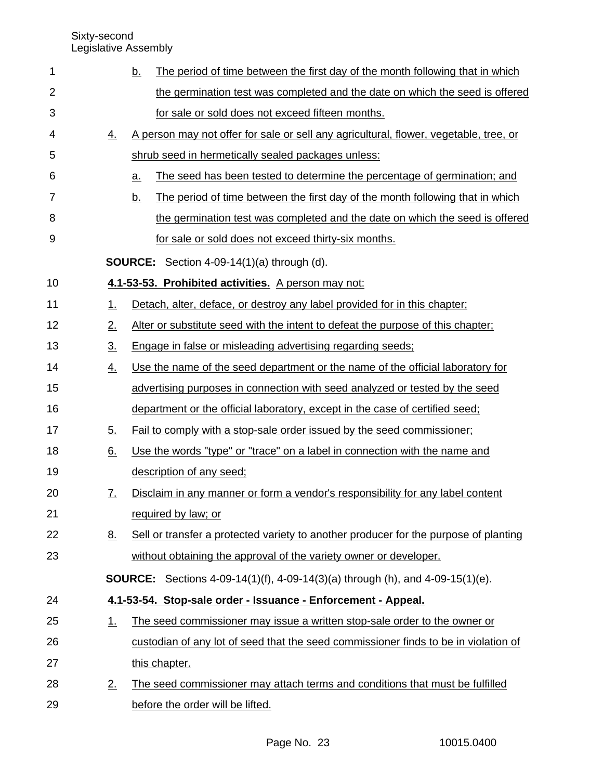| 1              |                   | The period of time between the first day of the month following that in which<br><u>b.</u> |
|----------------|-------------------|--------------------------------------------------------------------------------------------|
| 2              |                   | the germination test was completed and the date on which the seed is offered               |
| 3              |                   | for sale or sold does not exceed fifteen months.                                           |
| 4              | <u>4.</u>         | A person may not offer for sale or sell any agricultural, flower, vegetable, tree, or      |
| 5              |                   | shrub seed in hermetically sealed packages unless:                                         |
| 6              |                   | The seed has been tested to determine the percentage of germination; and<br><u>a.</u>      |
| $\overline{7}$ |                   | The period of time between the first day of the month following that in which<br><u>b.</u> |
| 8              |                   | the germination test was completed and the date on which the seed is offered               |
| 9              |                   | for sale or sold does not exceed thirty-six months.                                        |
|                |                   | <b>SOURCE:</b> Section 4-09-14(1)(a) through (d).                                          |
| 10             |                   | 4.1-53-53. Prohibited activities. A person may not:                                        |
| 11             | 1.                | Detach, alter, deface, or destroy any label provided for in this chapter;                  |
| 12             | 2.                | Alter or substitute seed with the intent to defeat the purpose of this chapter;            |
| 13             | $\underline{3}$ . | Engage in false or misleading advertising regarding seeds;                                 |
| 14             | <u>4.</u>         | Use the name of the seed department or the name of the official laboratory for             |
| 15             |                   | advertising purposes in connection with seed analyzed or tested by the seed                |
| 16             |                   | department or the official laboratory, except in the case of certified seed;               |
| 17             | 5.                | Fail to comply with a stop-sale order issued by the seed commissioner;                     |
| 18             | 6.                | Use the words "type" or "trace" on a label in connection with the name and                 |
| 19             |                   | description of any seed;                                                                   |
| 20             | <u>7.</u>         | Disclaim in any manner or form a vendor's responsibility for any label content             |
| 21             |                   | required by law; or                                                                        |
| 22             | <u>8.</u>         | Sell or transfer a protected variety to another producer for the purpose of planting       |
| 23             |                   | without obtaining the approval of the variety owner or developer.                          |
|                |                   | <b>SOURCE:</b> Sections 4-09-14(1)(f), 4-09-14(3)(a) through (h), and 4-09-15(1)(e).       |
| 24             |                   | 4.1-53-54. Stop-sale order - Issuance - Enforcement - Appeal.                              |
| 25             | 1.                | The seed commissioner may issue a written stop-sale order to the owner or                  |
| 26             |                   | custodian of any lot of seed that the seed commissioner finds to be in violation of        |
| 27             |                   | this chapter.                                                                              |
| 28             | 2.                | The seed commissioner may attach terms and conditions that must be fulfilled               |
| 29             |                   | before the order will be lifted.                                                           |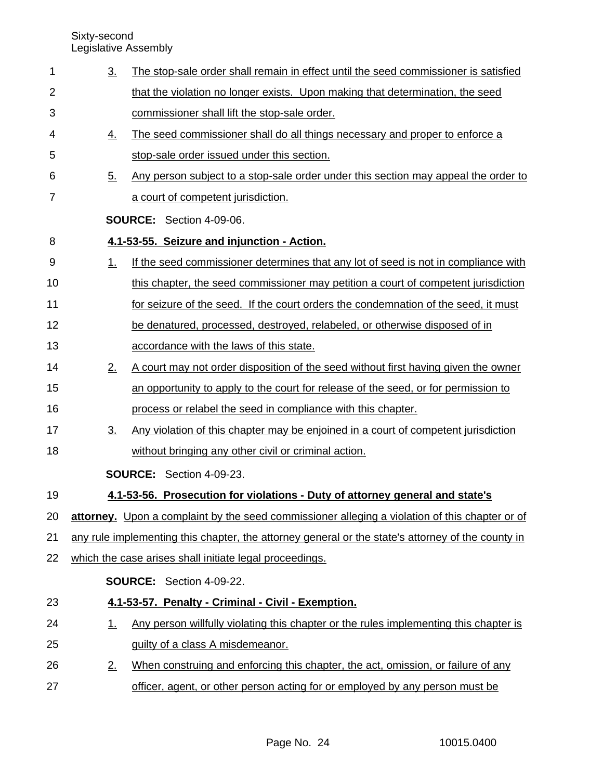1

| $\overline{2}$ |                | that the violation no longer exists. Upon making that determination, the seed                     |
|----------------|----------------|---------------------------------------------------------------------------------------------------|
| 3              |                | commissioner shall lift the stop-sale order.                                                      |
| 4              | <u>4.</u>      | The seed commissioner shall do all things necessary and proper to enforce a                       |
| 5              |                | stop-sale order issued under this section.                                                        |
| 6              | 5.             | Any person subject to a stop-sale order under this section may appeal the order to                |
| $\overline{7}$ |                | a court of competent jurisdiction.                                                                |
|                |                | <b>SOURCE:</b> Section 4-09-06.                                                                   |
| 8              |                | 4.1-53-55. Seizure and injunction - Action.                                                       |
| 9              | <u>1.</u>      | If the seed commissioner determines that any lot of seed is not in compliance with                |
| 10             |                | this chapter, the seed commissioner may petition a court of competent jurisdiction                |
| 11             |                | for seizure of the seed. If the court orders the condemnation of the seed, it must                |
| 12             |                | be denatured, processed, destroyed, relabeled, or otherwise disposed of in                        |
| 13             |                | accordance with the laws of this state.                                                           |
| 14             | 2.             | A court may not order disposition of the seed without first having given the owner                |
| 15             |                | an opportunity to apply to the court for release of the seed, or for permission to                |
| 16             |                | process or relabel the seed in compliance with this chapter.                                      |
| 17             | 3 <sub>1</sub> | Any violation of this chapter may be enjoined in a court of competent jurisdiction                |
| 18             |                | without bringing any other civil or criminal action.                                              |
|                |                | <b>SOURCE:</b> Section 4-09-23.                                                                   |
| 19             |                | 4.1-53-56. Prosecution for violations - Duty of attorney general and state's                      |
| 20             |                | attorney. Upon a complaint by the seed commissioner alleging a violation of this chapter or of    |
| 21             |                | any rule implementing this chapter, the attorney general or the state's attorney of the county in |
| 22             |                | which the case arises shall initiate legal proceedings.                                           |
|                |                | <b>SOURCE:</b> Section 4-09-22.                                                                   |
| 23             |                | 4.1-53-57. Penalty - Criminal - Civil - Exemption.                                                |
| 24             | 1.             | Any person willfully violating this chapter or the rules implementing this chapter is             |
| 25             |                | guilty of a class A misdemeanor.                                                                  |
| 26             | 2.             | When construing and enforcing this chapter, the act, omission, or failure of any                  |
| 27             |                | officer, agent, or other person acting for or employed by any person must be                      |
|                |                |                                                                                                   |
|                |                |                                                                                                   |

3. The stop-sale order shall remain in effect until the seed commissioner is satisfied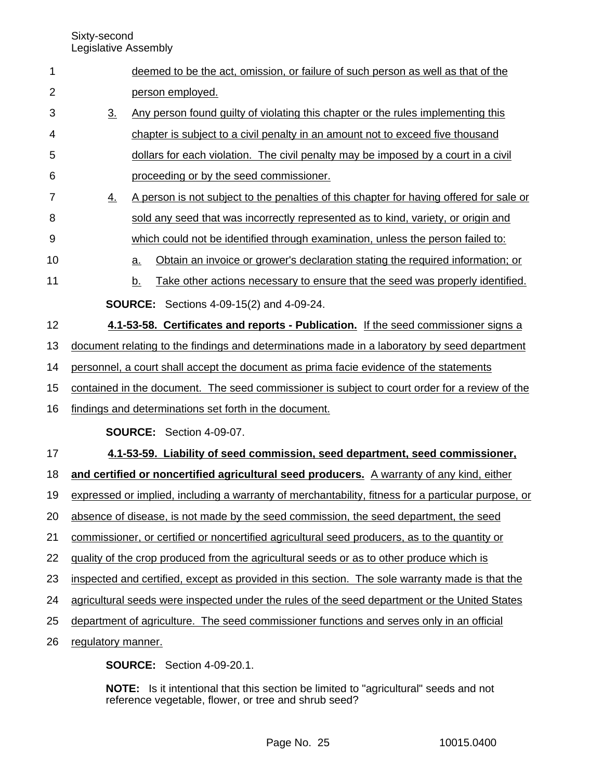| 1              |                    | deemed to be the act, omission, or failure of such person as well as that of the                    |  |  |
|----------------|--------------------|-----------------------------------------------------------------------------------------------------|--|--|
| $\overline{2}$ |                    | person employed.                                                                                    |  |  |
| 3              | $\underline{3}$ .  | Any person found guilty of violating this chapter or the rules implementing this                    |  |  |
| 4              |                    | chapter is subject to a civil penalty in an amount not to exceed five thousand                      |  |  |
| 5              |                    | dollars for each violation. The civil penalty may be imposed by a court in a civil                  |  |  |
| 6              |                    | proceeding or by the seed commissioner.                                                             |  |  |
| 7              | <u>4.</u>          | A person is not subject to the penalties of this chapter for having offered for sale or             |  |  |
| 8              |                    | sold any seed that was incorrectly represented as to kind, variety, or origin and                   |  |  |
| 9              |                    | which could not be identified through examination, unless the person failed to:                     |  |  |
| 10             |                    | Obtain an invoice or grower's declaration stating the required information; or<br><u>a.</u>         |  |  |
| 11             |                    | Take other actions necessary to ensure that the seed was properly identified.<br><u>b.</u>          |  |  |
|                |                    | <b>SOURCE:</b> Sections 4-09-15(2) and 4-09-24.                                                     |  |  |
| 12             |                    | 4.1-53-58. Certificates and reports - Publication. If the seed commissioner signs a                 |  |  |
| 13             |                    | document relating to the findings and determinations made in a laboratory by seed department        |  |  |
| 14             |                    | personnel, a court shall accept the document as prima facie evidence of the statements              |  |  |
| 15             |                    | contained in the document. The seed commissioner is subject to court order for a review of the      |  |  |
| 16             |                    | findings and determinations set forth in the document.                                              |  |  |
|                |                    | SOURCE: Section 4-09-07.                                                                            |  |  |
| 17             |                    | 4.1-53-59. Liability of seed commission, seed department, seed commissioner,                        |  |  |
| 18             |                    | and certified or noncertified agricultural seed producers. A warranty of any kind, either           |  |  |
| 19             |                    | expressed or implied, including a warranty of merchantability, fitness for a particular purpose, or |  |  |
| 20             |                    | absence of disease, is not made by the seed commission, the seed department, the seed               |  |  |
| 21             |                    | commissioner, or certified or noncertified agricultural seed producers, as to the quantity or       |  |  |
| 22             |                    | quality of the crop produced from the agricultural seeds or as to other produce which is            |  |  |
| 23             |                    | inspected and certified, except as provided in this section. The sole warranty made is that the     |  |  |
| 24             |                    | agricultural seeds were inspected under the rules of the seed department or the United States       |  |  |
| 25             |                    | department of agriculture. The seed commissioner functions and serves only in an official           |  |  |
| 26             | regulatory manner. |                                                                                                     |  |  |
|                |                    | <b>SOURCE:</b> Section 4-09-20.1.                                                                   |  |  |

**NOTE:** Is it intentional that this section be limited to "agricultural" seeds and not reference vegetable, flower, or tree and shrub seed?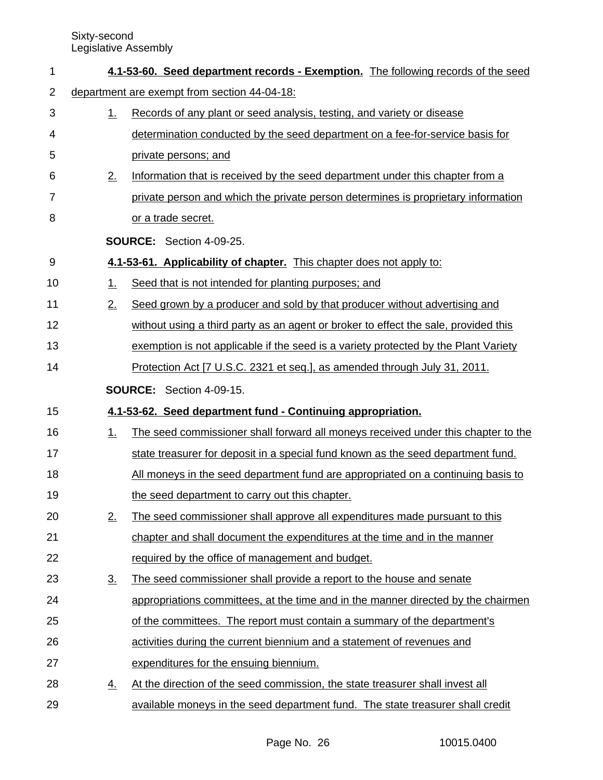| 1  |                                              | 4.1-53-60. Seed department records - Exemption. The following records of the seed   |  |  |  |
|----|----------------------------------------------|-------------------------------------------------------------------------------------|--|--|--|
| 2  | department are exempt from section 44-04-18: |                                                                                     |  |  |  |
| 3  | 1.                                           | Records of any plant or seed analysis, testing, and variety or disease              |  |  |  |
| 4  |                                              | determination conducted by the seed department on a fee-for-service basis for       |  |  |  |
| 5  |                                              | private persons; and                                                                |  |  |  |
| 6  | 2.                                           | Information that is received by the seed department under this chapter from a       |  |  |  |
| 7  |                                              | private person and which the private person determines is proprietary information   |  |  |  |
| 8  |                                              | or a trade secret.                                                                  |  |  |  |
|    |                                              | <b>SOURCE:</b> Section 4-09-25.                                                     |  |  |  |
| 9  |                                              | 4.1-53-61. Applicability of chapter. This chapter does not apply to:                |  |  |  |
| 10 | 1.                                           | Seed that is not intended for planting purposes; and                                |  |  |  |
| 11 | 2.                                           | Seed grown by a producer and sold by that producer without advertising and          |  |  |  |
| 12 |                                              | without using a third party as an agent or broker to effect the sale, provided this |  |  |  |
| 13 |                                              | exemption is not applicable if the seed is a variety protected by the Plant Variety |  |  |  |
| 14 |                                              | Protection Act [7 U.S.C. 2321 et seq.], as amended through July 31, 2011.           |  |  |  |
|    |                                              |                                                                                     |  |  |  |
|    |                                              | <b>SOURCE:</b> Section 4-09-15.                                                     |  |  |  |
| 15 |                                              | 4.1-53-62. Seed department fund - Continuing appropriation.                         |  |  |  |
| 16 | 1.                                           | The seed commissioner shall forward all moneys received under this chapter to the   |  |  |  |
| 17 |                                              | state treasurer for deposit in a special fund known as the seed department fund.    |  |  |  |
| 18 |                                              | All moneys in the seed department fund are appropriated on a continuing basis to    |  |  |  |
| 19 |                                              | the seed department to carry out this chapter.                                      |  |  |  |
| 20 | 2.                                           | The seed commissioner shall approve all expenditures made pursuant to this          |  |  |  |
| 21 |                                              | chapter and shall document the expenditures at the time and in the manner           |  |  |  |
| 22 |                                              | required by the office of management and budget.                                    |  |  |  |
| 23 | $\underline{3}$ .                            | The seed commissioner shall provide a report to the house and senate                |  |  |  |
| 24 |                                              | appropriations committees, at the time and in the manner directed by the chairmen   |  |  |  |
| 25 |                                              | of the committees. The report must contain a summary of the department's            |  |  |  |
| 26 |                                              | activities during the current biennium and a statement of revenues and              |  |  |  |
| 27 |                                              | expenditures for the ensuing biennium.                                              |  |  |  |
| 28 | <u>4.</u>                                    | At the direction of the seed commission, the state treasurer shall invest all       |  |  |  |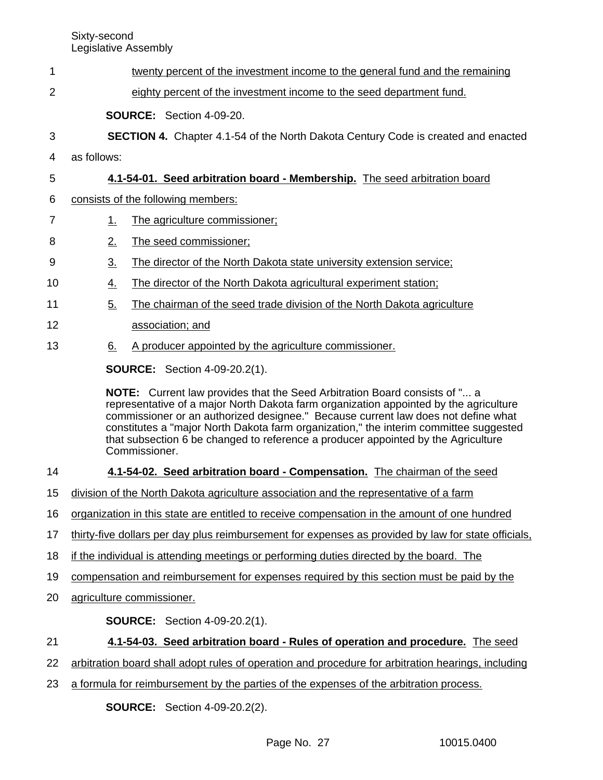| 1              |                                                                                              | twenty percent of the investment income to the general fund and the remaining                                                                                                                                                                                                                                                                                                                                                                           |  |  |
|----------------|----------------------------------------------------------------------------------------------|---------------------------------------------------------------------------------------------------------------------------------------------------------------------------------------------------------------------------------------------------------------------------------------------------------------------------------------------------------------------------------------------------------------------------------------------------------|--|--|
| 2              |                                                                                              | eighty percent of the investment income to the seed department fund.                                                                                                                                                                                                                                                                                                                                                                                    |  |  |
|                |                                                                                              | <b>SOURCE:</b> Section 4-09-20.                                                                                                                                                                                                                                                                                                                                                                                                                         |  |  |
| 3              |                                                                                              | <b>SECTION 4.</b> Chapter 4.1-54 of the North Dakota Century Code is created and enacted                                                                                                                                                                                                                                                                                                                                                                |  |  |
| 4              | as follows:                                                                                  |                                                                                                                                                                                                                                                                                                                                                                                                                                                         |  |  |
| 5              |                                                                                              | 4.1-54-01. Seed arbitration board - Membership. The seed arbitration board                                                                                                                                                                                                                                                                                                                                                                              |  |  |
| 6              |                                                                                              | consists of the following members:                                                                                                                                                                                                                                                                                                                                                                                                                      |  |  |
| $\overline{7}$ | 1.                                                                                           | The agriculture commissioner;                                                                                                                                                                                                                                                                                                                                                                                                                           |  |  |
| 8              | 2.                                                                                           | The seed commissioner;                                                                                                                                                                                                                                                                                                                                                                                                                                  |  |  |
| 9              | 3.                                                                                           | The director of the North Dakota state university extension service;                                                                                                                                                                                                                                                                                                                                                                                    |  |  |
| 10             | <u>4.</u>                                                                                    | The director of the North Dakota agricultural experiment station;                                                                                                                                                                                                                                                                                                                                                                                       |  |  |
| 11             | 5.                                                                                           | The chairman of the seed trade division of the North Dakota agriculture                                                                                                                                                                                                                                                                                                                                                                                 |  |  |
| 12             |                                                                                              | association; and                                                                                                                                                                                                                                                                                                                                                                                                                                        |  |  |
| 13             | 6.                                                                                           | A producer appointed by the agriculture commissioner.                                                                                                                                                                                                                                                                                                                                                                                                   |  |  |
|                |                                                                                              | <b>SOURCE:</b> Section 4-09-20.2(1).                                                                                                                                                                                                                                                                                                                                                                                                                    |  |  |
|                |                                                                                              | NOTE: Current law provides that the Seed Arbitration Board consists of " a<br>representative of a major North Dakota farm organization appointed by the agriculture<br>commissioner or an authorized designee." Because current law does not define what<br>constitutes a "major North Dakota farm organization," the interim committee suggested<br>that subsection 6 be changed to reference a producer appointed by the Agriculture<br>Commissioner. |  |  |
| 14             |                                                                                              | 4.1-54-02. Seed arbitration board - Compensation. The chairman of the seed                                                                                                                                                                                                                                                                                                                                                                              |  |  |
| 15             |                                                                                              | division of the North Dakota agriculture association and the representative of a farm                                                                                                                                                                                                                                                                                                                                                                   |  |  |
| 16             | organization in this state are entitled to receive compensation in the amount of one hundred |                                                                                                                                                                                                                                                                                                                                                                                                                                                         |  |  |
| 17             |                                                                                              | thirty-five dollars per day plus reimbursement for expenses as provided by law for state officials,                                                                                                                                                                                                                                                                                                                                                     |  |  |
| 18             |                                                                                              | if the individual is attending meetings or performing duties directed by the board. The                                                                                                                                                                                                                                                                                                                                                                 |  |  |
| 19             |                                                                                              | compensation and reimbursement for expenses required by this section must be paid by the                                                                                                                                                                                                                                                                                                                                                                |  |  |
| 20             |                                                                                              | agriculture commissioner.                                                                                                                                                                                                                                                                                                                                                                                                                               |  |  |
|                |                                                                                              | <b>SOURCE:</b> Section 4-09-20.2(1).                                                                                                                                                                                                                                                                                                                                                                                                                    |  |  |
| 21             |                                                                                              | 4.1-54-03. Seed arbitration board - Rules of operation and procedure. The seed                                                                                                                                                                                                                                                                                                                                                                          |  |  |
| 22             |                                                                                              | arbitration board shall adopt rules of operation and procedure for arbitration hearings, including                                                                                                                                                                                                                                                                                                                                                      |  |  |
| 23             |                                                                                              | a formula for reimbursement by the parties of the expenses of the arbitration process.                                                                                                                                                                                                                                                                                                                                                                  |  |  |
|                |                                                                                              | <b>SOURCE:</b> Section 4-09-20.2(2).                                                                                                                                                                                                                                                                                                                                                                                                                    |  |  |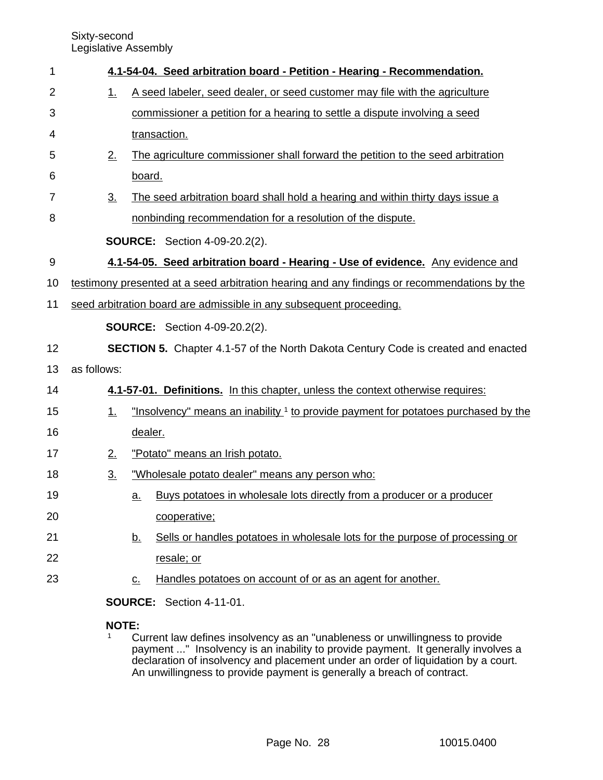| 1              |                                                                     | 4.1-54-04. Seed arbitration board - Petition - Hearing - Recommendation.                      |  |
|----------------|---------------------------------------------------------------------|-----------------------------------------------------------------------------------------------|--|
| $\overline{2}$ | 1.                                                                  | A seed labeler, seed dealer, or seed customer may file with the agriculture                   |  |
| 3              |                                                                     | commissioner a petition for a hearing to settle a dispute involving a seed                    |  |
| 4              |                                                                     | transaction.                                                                                  |  |
| 5              | 2.                                                                  | The agriculture commissioner shall forward the petition to the seed arbitration               |  |
| 6              |                                                                     | board.                                                                                        |  |
| 7              | <u>3.</u>                                                           | The seed arbitration board shall hold a hearing and within thirty days issue a                |  |
| 8              |                                                                     | nonbinding recommendation for a resolution of the dispute.                                    |  |
|                |                                                                     | <b>SOURCE:</b> Section 4-09-20.2(2).                                                          |  |
| 9              |                                                                     | 4.1-54-05. Seed arbitration board - Hearing - Use of evidence. Any evidence and               |  |
| 10             |                                                                     | testimony presented at a seed arbitration hearing and any findings or recommendations by the  |  |
| 11             | seed arbitration board are admissible in any subsequent proceeding. |                                                                                               |  |
|                |                                                                     | <b>SOURCE:</b> Section 4-09-20.2(2).                                                          |  |
| 12             |                                                                     | <b>SECTION 5.</b> Chapter 4.1-57 of the North Dakota Century Code is created and enacted      |  |
| 13             | as follows:                                                         |                                                                                               |  |
| 14             |                                                                     | 4.1-57-01. Definitions. In this chapter, unless the context otherwise requires:               |  |
| 15             | 1.                                                                  | "Insolvency" means an inability <sup>1</sup> to provide payment for potatoes purchased by the |  |
| 16             |                                                                     | dealer.                                                                                       |  |
| 17             | 2.                                                                  | "Potato" means an Irish potato.                                                               |  |
| 18             | $\underline{3}$ .                                                   | "Wholesale potato dealer" means any person who:                                               |  |
| 19             |                                                                     | Buys potatoes in wholesale lots directly from a producer or a producer<br>a.                  |  |
| 20             |                                                                     | cooperative;                                                                                  |  |
| 21             |                                                                     | Sells or handles potatoes in wholesale lots for the purpose of processing or<br><u>b.</u>     |  |
| 22             |                                                                     | resale; or                                                                                    |  |
| 23             |                                                                     | Handles potatoes on account of or as an agent for another.<br>$\underline{C}$ .               |  |
|                |                                                                     | <b>SOURCE:</b> Section 4-11-01.                                                               |  |
|                |                                                                     |                                                                                               |  |

### **NOTE:**<br><sup>1</sup> C Current law defines insolvency as an "unableness or unwillingness to provide payment ..." Insolvency is an inability to provide payment. It generally involves a declaration of insolvency and placement under an order of liquidation by a court. An unwillingness to provide payment is generally a breach of contract.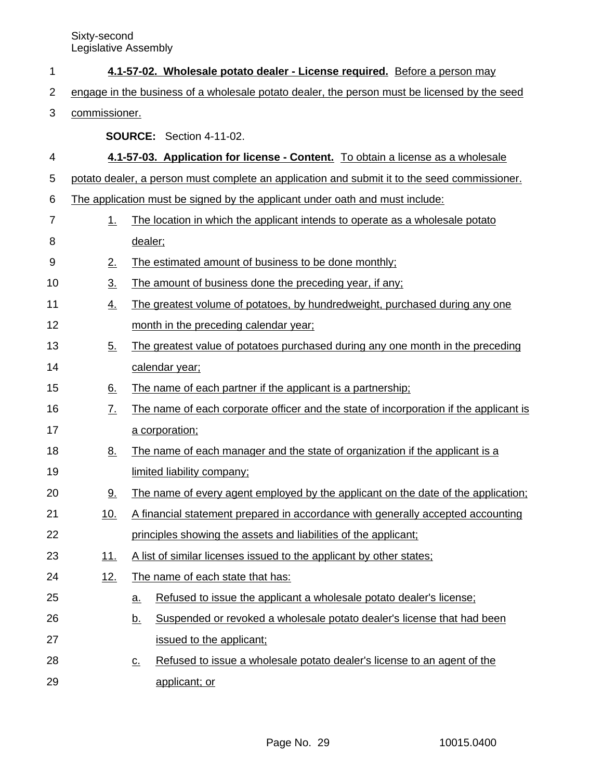| 1              |                                                                                              | 4.1-57-02. Wholesale potato dealer - License required. Before a person may                   |  |
|----------------|----------------------------------------------------------------------------------------------|----------------------------------------------------------------------------------------------|--|
| 2              | engage in the business of a wholesale potato dealer, the person must be licensed by the seed |                                                                                              |  |
| 3              | commissioner.                                                                                |                                                                                              |  |
|                |                                                                                              | <b>SOURCE:</b> Section 4-11-02.                                                              |  |
| 4              |                                                                                              | 4.1-57-03. Application for license - Content. To obtain a license as a wholesale             |  |
| 5              |                                                                                              | potato dealer, a person must complete an application and submit it to the seed commissioner. |  |
| 6              | The application must be signed by the applicant under oath and must include:                 |                                                                                              |  |
| $\overline{7}$ | 1.                                                                                           | The location in which the applicant intends to operate as a wholesale potato                 |  |
| 8              |                                                                                              | dealer;                                                                                      |  |
| 9              | 2.                                                                                           | The estimated amount of business to be done monthly;                                         |  |
| 10             | $\underline{3}$ .                                                                            | The amount of business done the preceding year, if any;                                      |  |
| 11             | <u>4.</u>                                                                                    | The greatest volume of potatoes, by hundredweight, purchased during any one                  |  |
| 12             |                                                                                              | month in the preceding calendar year;                                                        |  |
| 13             | $\underline{5}$ .                                                                            | The greatest value of potatoes purchased during any one month in the preceding               |  |
| 14             |                                                                                              | calendar year;                                                                               |  |
| 15             | <u>6.</u>                                                                                    | The name of each partner if the applicant is a partnership;                                  |  |
| 16             | $\underline{7}$ .                                                                            | The name of each corporate officer and the state of incorporation if the applicant is        |  |
| 17             |                                                                                              | a corporation;                                                                               |  |
| 18             | <u>8.</u>                                                                                    | The name of each manager and the state of organization if the applicant is a                 |  |
| 19             |                                                                                              | limited liability company;                                                                   |  |
| 20             | <u>9.</u>                                                                                    | The name of every agent employed by the applicant on the date of the application;            |  |
| 21             | 10.                                                                                          | A financial statement prepared in accordance with generally accepted accounting              |  |
| 22             |                                                                                              | principles showing the assets and liabilities of the applicant;                              |  |
| 23             | 11.                                                                                          | A list of similar licenses issued to the applicant by other states;                          |  |
| 24             | 12.                                                                                          | The name of each state that has:                                                             |  |
| 25             |                                                                                              | Refused to issue the applicant a wholesale potato dealer's license;<br><u>a.</u>             |  |
| 26             |                                                                                              | Suspended or revoked a wholesale potato dealer's license that had been<br><u>b.</u>          |  |
| 27             |                                                                                              | issued to the applicant;                                                                     |  |
| 28             |                                                                                              | Refused to issue a wholesale potato dealer's license to an agent of the<br><u>c.</u>         |  |
| 29             |                                                                                              | applicant; or                                                                                |  |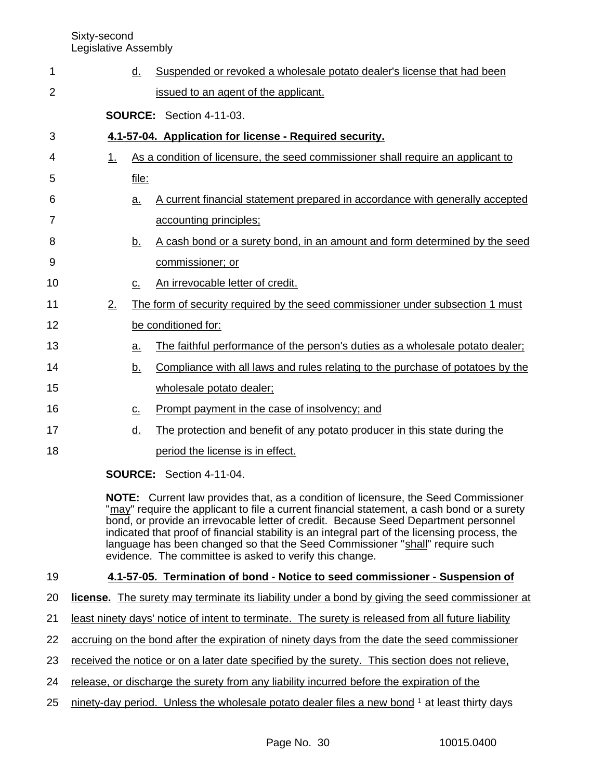| 1              |    | d.                | Suspended or revoked a wholesale potato dealer's license that had been                                                                                                                                                                                                                                                             |
|----------------|----|-------------------|------------------------------------------------------------------------------------------------------------------------------------------------------------------------------------------------------------------------------------------------------------------------------------------------------------------------------------|
|                |    |                   |                                                                                                                                                                                                                                                                                                                                    |
| $\overline{2}$ |    |                   | issued to an agent of the applicant.                                                                                                                                                                                                                                                                                               |
|                |    |                   | <b>SOURCE: Section 4-11-03.</b>                                                                                                                                                                                                                                                                                                    |
| 3              |    |                   | 4.1-57-04. Application for license - Required security.                                                                                                                                                                                                                                                                            |
| 4              | 1. |                   | As a condition of licensure, the seed commissioner shall require an applicant to                                                                                                                                                                                                                                                   |
| 5              |    | file:             |                                                                                                                                                                                                                                                                                                                                    |
| 6              |    | a.                | A current financial statement prepared in accordance with generally accepted                                                                                                                                                                                                                                                       |
| 7              |    |                   | accounting principles;                                                                                                                                                                                                                                                                                                             |
| 8              |    | <u>b.</u>         | A cash bond or a surety bond, in an amount and form determined by the seed                                                                                                                                                                                                                                                         |
| 9              |    |                   | commissioner; or                                                                                                                                                                                                                                                                                                                   |
| 10             |    | с.                | An irrevocable letter of credit.                                                                                                                                                                                                                                                                                                   |
| 11             | 2. |                   | The form of security required by the seed commissioner under subsection 1 must                                                                                                                                                                                                                                                     |
| 12             |    |                   | be conditioned for:                                                                                                                                                                                                                                                                                                                |
| 13             |    | a.                | The faithful performance of the person's duties as a wholesale potato dealer;                                                                                                                                                                                                                                                      |
| 14             |    | <u>b.</u>         | Compliance with all laws and rules relating to the purchase of potatoes by the                                                                                                                                                                                                                                                     |
| 15             |    |                   | wholesale potato dealer;                                                                                                                                                                                                                                                                                                           |
| 16             |    | $\underline{C}$ . | Prompt payment in the case of insolvency; and                                                                                                                                                                                                                                                                                      |
| 17             |    | <u>d.</u>         | The protection and benefit of any potato producer in this state during the                                                                                                                                                                                                                                                         |
| 18             |    |                   | period the license is in effect.                                                                                                                                                                                                                                                                                                   |
|                |    |                   | $\mathbf{F}$ $\mathbf{F}$ $\mathbf{F}$ $\mathbf{F}$ $\mathbf{F}$ $\mathbf{F}$ $\mathbf{F}$ $\mathbf{F}$ $\mathbf{F}$ $\mathbf{F}$ $\mathbf{F}$ $\mathbf{F}$ $\mathbf{F}$ $\mathbf{F}$ $\mathbf{F}$ $\mathbf{F}$ $\mathbf{F}$ $\mathbf{F}$ $\mathbf{F}$ $\mathbf{F}$ $\mathbf{F}$ $\mathbf{F}$ $\mathbf{F}$ $\mathbf{F}$ $\mathbf{$ |

**SOURCE:** Section 4-11-04.

**NOTE:** Current law provides that, as a condition of licensure, the Seed Commissioner "may" require the applicant to file a current financial statement, a cash bond or a surety bond, or provide an irrevocable letter of credit. Because Seed Department personnel indicated that proof of financial stability is an integral part of the licensing process, the language has been changed so that the Seed Commissioner "shall" require such evidence. The committee is asked to verify this change.

### **4.1-57-05. Termination of bond - Notice to seed commissioner - Suspension of** 19

- **license.** The surety may terminate its liability under a bond by giving the seed commissioner at 20
- least ninety days' notice of intent to terminate. The surety is released from all future liability 21
- accruing on the bond after the expiration of ninety days from the date the seed commissioner 22
- received the notice or on a later date specified by the surety. This section does not relieve, 23
- release, or discharge the surety from any liability incurred before the expiration of the 24
- ninety-day period. Unless the wholesale potato dealer files a new bond <sup>1</sup> at least thirty days 25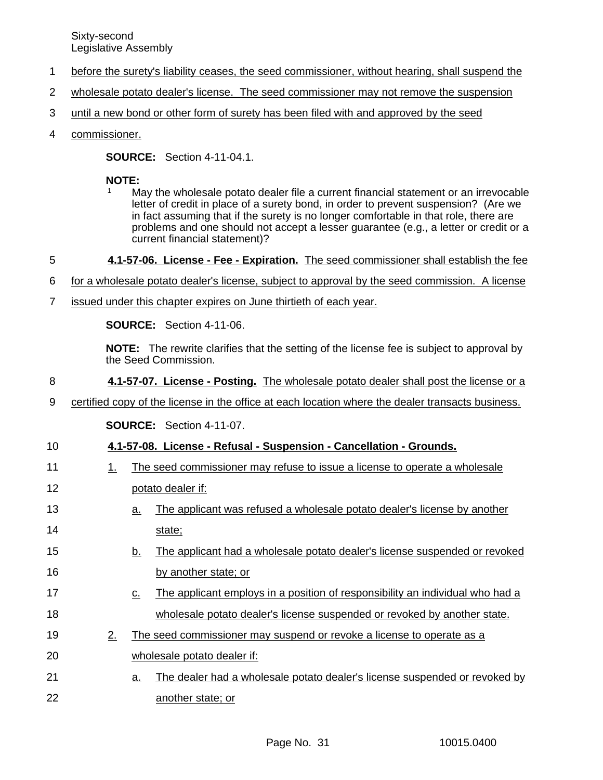- before the surety's liability ceases, the seed commissioner, without hearing, shall suspend the 1
- wholesale potato dealer's license. The seed commissioner may not remove the suspension 2
- until a new bond or other form of surety has been filed with and approved by the seed 3
- commissioner. 4

**SOURCE:** Section 4-11-04.1.

### **NOTE:**

- May the wholesale potato dealer file a current financial statement or an irrevocable letter of credit in place of a surety bond, in order to prevent suspension? (Are we in fact assuming that if the surety is no longer comfortable in that role, there are problems and one should not accept a lesser guarantee (e.g., a letter or credit or a current financial statement)?
- **4.1-57-06. License Fee Expiration.** The seed commissioner shall establish the fee 5
- for a wholesale potato dealer's license, subject to approval by the seed commission. A license 6
- issued under this chapter expires on June thirtieth of each year. 7

**SOURCE:** Section 4-11-06.

**NOTE:** The rewrite clarifies that the setting of the license fee is subject to approval by the Seed Commission.

- **4.1-57-07. License Posting.** The wholesale potato dealer shall post the license or a 8
- certified copy of the license in the office at each location where the dealer transacts business. 9

**SOURCE:** Section 4-11-07.

### **4.1-57-08. License - Refusal - Suspension - Cancellation - Grounds.** 10

- 1. The seed commissioner may refuse to issue a license to operate a wholesale 11
- potato dealer if: 12
- a. The applicant was refused a wholesale potato dealer's license by another state; 13 14
- b. The applicant had a wholesale potato dealer's license suspended or revoked by another state; or 15 16
- c. The applicant employs in a position of responsibility an individual who had a wholesale potato dealer's license suspended or revoked by another state. 17 18
- 2. The seed commissioner may suspend or revoke a license to operate as a wholesale potato dealer if: 19 20
- a. The dealer had a wholesale potato dealer's license suspended or revoked by another state; or 21 22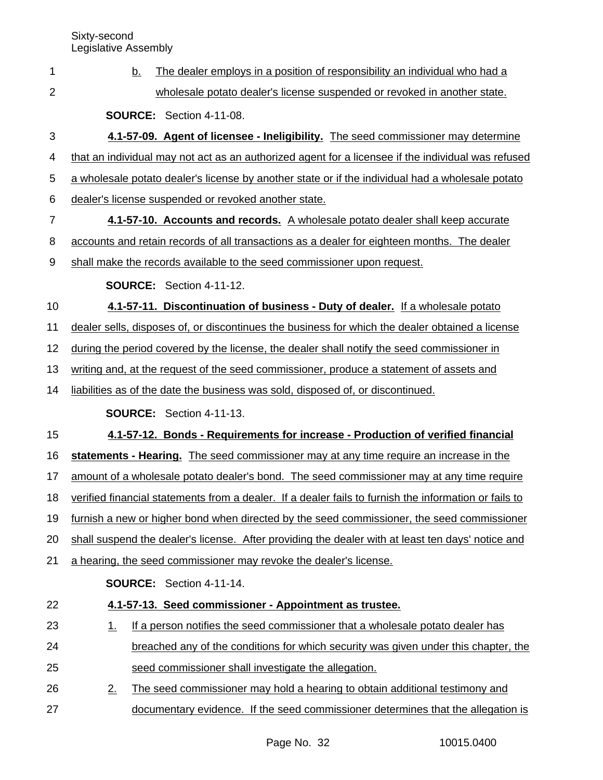| 1              | The dealer employs in a position of responsibility an individual who had a<br><u>b.</u>               |
|----------------|-------------------------------------------------------------------------------------------------------|
| $\overline{2}$ | wholesale potato dealer's license suspended or revoked in another state.                              |
|                | <b>SOURCE:</b> Section 4-11-08.                                                                       |
| 3              | 4.1-57-09. Agent of licensee - Ineligibility. The seed commissioner may determine                     |
| 4              | that an individual may not act as an authorized agent for a licensee if the individual was refused    |
| 5              | a wholesale potato dealer's license by another state or if the individual had a wholesale potato      |
| 6              | dealer's license suspended or revoked another state.                                                  |
| $\overline{7}$ | 4.1-57-10. Accounts and records. A wholesale potato dealer shall keep accurate                        |
| 8              | accounts and retain records of all transactions as a dealer for eighteen months. The dealer           |
| 9              | shall make the records available to the seed commissioner upon request.                               |
|                | SOURCE: Section 4-11-12.                                                                              |
| 10             | 4.1-57-11. Discontinuation of business - Duty of dealer. If a wholesale potato                        |
| 11             | dealer sells, disposes of, or discontinues the business for which the dealer obtained a license       |
| 12             | during the period covered by the license, the dealer shall notify the seed commissioner in            |
| 13             | writing and, at the request of the seed commissioner, produce a statement of assets and               |
| 14             | liabilities as of the date the business was sold, disposed of, or discontinued.                       |
|                | <b>SOURCE:</b> Section 4-11-13.                                                                       |
| 15             | 4.1-57-12. Bonds - Requirements for increase - Production of verified financial                       |
| 16             | statements - Hearing. The seed commissioner may at any time require an increase in the                |
| 17             | amount of a wholesale potato dealer's bond. The seed commissioner may at any time require             |
| 18             | verified financial statements from a dealer. If a dealer fails to furnish the information or fails to |
| 19             | furnish a new or higher bond when directed by the seed commissioner, the seed commissioner            |
| 20             | shall suspend the dealer's license. After providing the dealer with at least ten days' notice and     |
| 21             | a hearing, the seed commissioner may revoke the dealer's license.                                     |
|                | SOURCE: Section 4-11-14.                                                                              |
| 22             | 4.1-57-13. Seed commissioner - Appointment as trustee.                                                |
| 23             | If a person notifies the seed commissioner that a wholesale potato dealer has<br>1.                   |
| 24             | breached any of the conditions for which security was given under this chapter, the                   |
| 25             | seed commissioner shall investigate the allegation.                                                   |
| 26             | 2.<br>The seed commissioner may hold a hearing to obtain additional testimony and                     |
| 27             | documentary evidence. If the seed commissioner determines that the allegation is                      |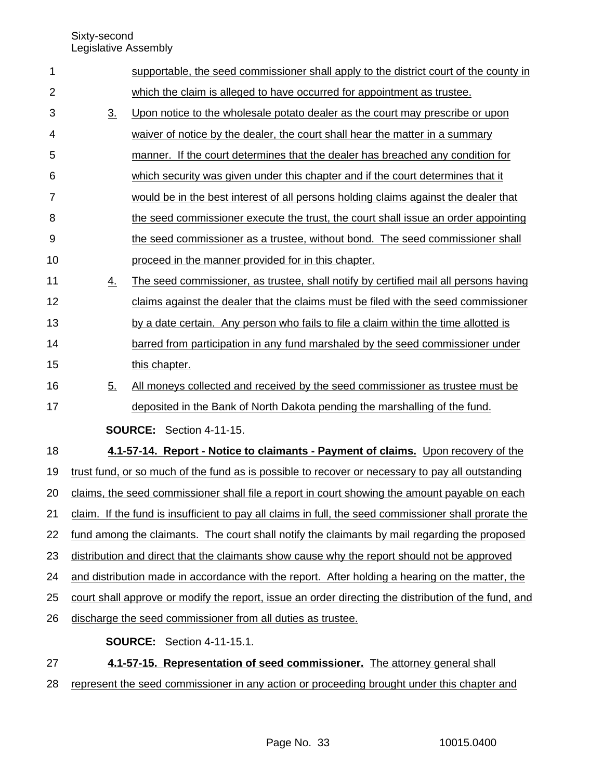Sixty-second

Legislative Assembly

| $\mathbf{1}$   |                                                                                                       | supportable, the seed commissioner shall apply to the district court of the county in            |  |
|----------------|-------------------------------------------------------------------------------------------------------|--------------------------------------------------------------------------------------------------|--|
| $\overline{2}$ |                                                                                                       | which the claim is alleged to have occurred for appointment as trustee.                          |  |
| 3              | 3.                                                                                                    | Upon notice to the wholesale potato dealer as the court may prescribe or upon                    |  |
| 4              |                                                                                                       | waiver of notice by the dealer, the court shall hear the matter in a summary                     |  |
| 5              |                                                                                                       | manner. If the court determines that the dealer has breached any condition for                   |  |
| 6              |                                                                                                       | which security was given under this chapter and if the court determines that it                  |  |
| $\overline{7}$ |                                                                                                       | would be in the best interest of all persons holding claims against the dealer that              |  |
| 8              |                                                                                                       | the seed commissioner execute the trust, the court shall issue an order appointing               |  |
| 9              |                                                                                                       | the seed commissioner as a trustee, without bond. The seed commissioner shall                    |  |
| 10             |                                                                                                       | proceed in the manner provided for in this chapter.                                              |  |
| 11             | <u>4.</u>                                                                                             | The seed commissioner, as trustee, shall notify by certified mail all persons having             |  |
| 12             |                                                                                                       | claims against the dealer that the claims must be filed with the seed commissioner               |  |
| 13             |                                                                                                       | by a date certain. Any person who fails to file a claim within the time allotted is              |  |
| 14             |                                                                                                       | barred from participation in any fund marshaled by the seed commissioner under                   |  |
| 15             |                                                                                                       | this chapter.                                                                                    |  |
| 16             | 5.                                                                                                    | All moneys collected and received by the seed commissioner as trustee must be                    |  |
| 17             |                                                                                                       | deposited in the Bank of North Dakota pending the marshalling of the fund.                       |  |
|                |                                                                                                       | <b>SOURCE:</b> Section 4-11-15.                                                                  |  |
| 18             |                                                                                                       | 4.1-57-14. Report - Notice to claimants - Payment of claims. Upon recovery of the                |  |
| 19             |                                                                                                       | trust fund, or so much of the fund as is possible to recover or necessary to pay all outstanding |  |
| 20             | claims, the seed commissioner shall file a report in court showing the amount payable on each         |                                                                                                  |  |
| 21             | claim. If the fund is insufficient to pay all claims in full, the seed commissioner shall prorate the |                                                                                                  |  |
| 22             | fund among the claimants. The court shall notify the claimants by mail regarding the proposed         |                                                                                                  |  |
| 23             | distribution and direct that the claimants show cause why the report should not be approved           |                                                                                                  |  |
| 24             | and distribution made in accordance with the report. After holding a hearing on the matter, the       |                                                                                                  |  |
| 25             | court shall approve or modify the report, issue an order directing the distribution of the fund, and  |                                                                                                  |  |
| 26             |                                                                                                       | discharge the seed commissioner from all duties as trustee.                                      |  |
|                |                                                                                                       | <b>SOURCE:</b> Section 4-11-15.1.                                                                |  |
| 27             |                                                                                                       | 4.1-57-15. Representation of seed commissioner. The attorney general shall                       |  |

28 represent the seed commissioner in any action or proceeding brought under this chapter and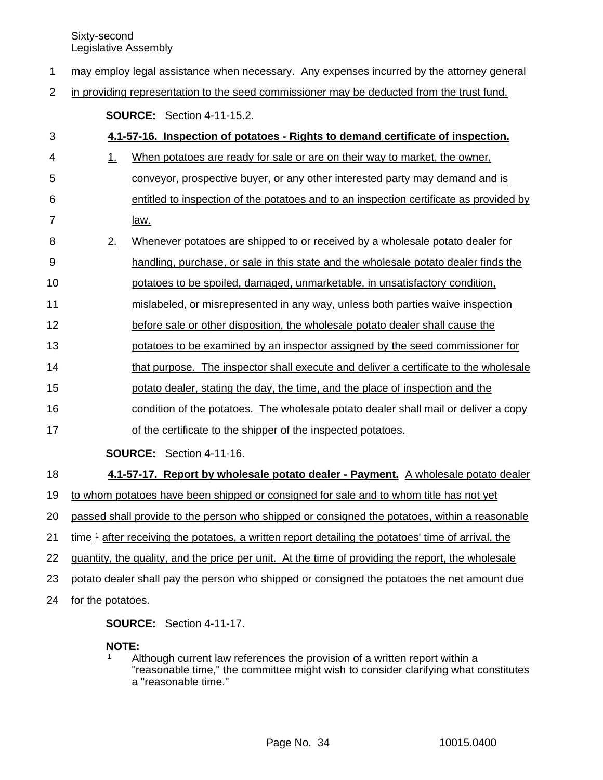- may employ legal assistance when necessary. Any expenses incurred by the attorney general 1
- in providing representation to the seed commissioner may be deducted from the trust fund. 2

**SOURCE:** Section 4-11-15.2.

| 3              |                                                                                                               | 4.1-57-16. Inspection of potatoes - Rights to demand certificate of inspection.        |  |
|----------------|---------------------------------------------------------------------------------------------------------------|----------------------------------------------------------------------------------------|--|
| 4              | 1.                                                                                                            | When potatoes are ready for sale or are on their way to market, the owner,             |  |
| 5              |                                                                                                               | conveyor, prospective buyer, or any other interested party may demand and is           |  |
| 6              |                                                                                                               | entitled to inspection of the potatoes and to an inspection certificate as provided by |  |
| $\overline{7}$ |                                                                                                               | law.                                                                                   |  |
| 8              | 2.                                                                                                            | Whenever potatoes are shipped to or received by a wholesale potato dealer for          |  |
| 9              |                                                                                                               | handling, purchase, or sale in this state and the wholesale potato dealer finds the    |  |
| 10             |                                                                                                               | potatoes to be spoiled, damaged, unmarketable, in unsatisfactory condition,            |  |
| 11             |                                                                                                               | mislabeled, or misrepresented in any way, unless both parties waive inspection         |  |
| 12             |                                                                                                               | before sale or other disposition, the wholesale potato dealer shall cause the          |  |
| 13             |                                                                                                               | potatoes to be examined by an inspector assigned by the seed commissioner for          |  |
| 14             |                                                                                                               | that purpose. The inspector shall execute and deliver a certificate to the wholesale   |  |
| 15             |                                                                                                               | potato dealer, stating the day, the time, and the place of inspection and the          |  |
| 16             |                                                                                                               | condition of the potatoes. The wholesale potato dealer shall mail or deliver a copy    |  |
| 17             |                                                                                                               | of the certificate to the shipper of the inspected potatoes.                           |  |
|                |                                                                                                               | SOURCE: Section 4-11-16.                                                               |  |
| 18             |                                                                                                               | 4.1-57-17. Report by wholesale potato dealer - Payment. A wholesale potato dealer      |  |
| 19             |                                                                                                               | to whom potatoes have been shipped or consigned for sale and to whom title has not yet |  |
| 20             | passed shall provide to the person who shipped or consigned the potatoes, within a reasonable                 |                                                                                        |  |
| 21             | time <sup>1</sup> after receiving the potatoes, a written report detailing the potatoes' time of arrival, the |                                                                                        |  |
| 22             | quantity, the quality, and the price per unit. At the time of providing the report, the wholesale             |                                                                                        |  |
| 23             | potato dealer shall pay the person who shipped or consigned the potatoes the net amount due                   |                                                                                        |  |
| 24             | for the potatoes.                                                                                             |                                                                                        |  |
|                |                                                                                                               |                                                                                        |  |

**SOURCE:** Section 4-11-17.

**NOTE:**

 $1$  Although current law references the provision of a written report within a "reasonable time," the committee might wish to consider clarifying what constitutes a "reasonable time."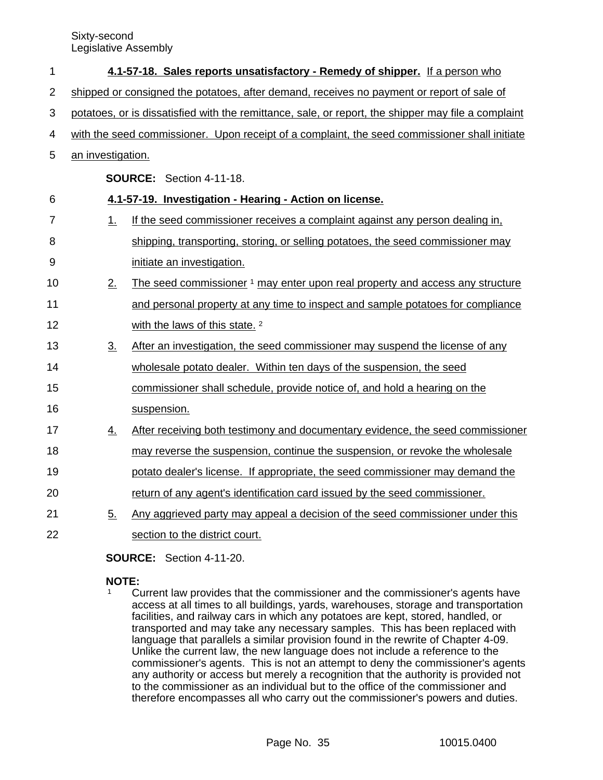| 1              |                                                                                                     | 4.1-57-18. Sales reports unsatisfactory - Remedy of shipper. If a person who             |  |
|----------------|-----------------------------------------------------------------------------------------------------|------------------------------------------------------------------------------------------|--|
| 2              | shipped or consigned the potatoes, after demand, receives no payment or report of sale of           |                                                                                          |  |
| 3              | potatoes, or is dissatisfied with the remittance, sale, or report, the shipper may file a complaint |                                                                                          |  |
| 4              | with the seed commissioner. Upon receipt of a complaint, the seed commissioner shall initiate       |                                                                                          |  |
| 5              | an investigation.                                                                                   |                                                                                          |  |
|                |                                                                                                     | <b>SOURCE: Section 4-11-18.</b>                                                          |  |
| 6              |                                                                                                     | 4.1-57-19. Investigation - Hearing - Action on license.                                  |  |
| $\overline{7}$ | 1.                                                                                                  | If the seed commissioner receives a complaint against any person dealing in,             |  |
| 8              |                                                                                                     | shipping, transporting, storing, or selling potatoes, the seed commissioner may          |  |
| 9              |                                                                                                     | initiate an investigation.                                                               |  |
| 10             | 2.                                                                                                  | The seed commissioner <sup>1</sup> may enter upon real property and access any structure |  |
| 11             |                                                                                                     | and personal property at any time to inspect and sample potatoes for compliance          |  |
| 12             |                                                                                                     | with the laws of this state. <sup>2</sup>                                                |  |
| 13             | 3 <sub>1</sub>                                                                                      | After an investigation, the seed commissioner may suspend the license of any             |  |
| 14             |                                                                                                     | wholesale potato dealer. Within ten days of the suspension, the seed                     |  |
| 15             |                                                                                                     | commissioner shall schedule, provide notice of, and hold a hearing on the                |  |
| 16             |                                                                                                     | suspension.                                                                              |  |
| 17             | <u>4.</u>                                                                                           | After receiving both testimony and documentary evidence, the seed commissioner           |  |
| 18             |                                                                                                     | may reverse the suspension, continue the suspension, or revoke the wholesale             |  |
| 19             |                                                                                                     | potato dealer's license. If appropriate, the seed commissioner may demand the            |  |
| 20             |                                                                                                     | return of any agent's identification card issued by the seed commissioner.               |  |
| 21             | 5.                                                                                                  | Any aggrieved party may appeal a decision of the seed commissioner under this            |  |
| 22             |                                                                                                     | section to the district court.                                                           |  |

**SOURCE:** Section 4-11-20.

### **NOTE:**

<sup>1</sup> Current law provides that the commissioner and the commissioner's agents have access at all times to all buildings, yards, warehouses, storage and transportation facilities, and railway cars in which any potatoes are kept, stored, handled, or transported and may take any necessary samples. This has been replaced with language that parallels a similar provision found in the rewrite of Chapter 4-09. Unlike the current law, the new language does not include a reference to the commissioner's agents. This is not an attempt to deny the commissioner's agents any authority or access but merely a recognition that the authority is provided not to the commissioner as an individual but to the office of the commissioner and therefore encompasses all who carry out the commissioner's powers and duties.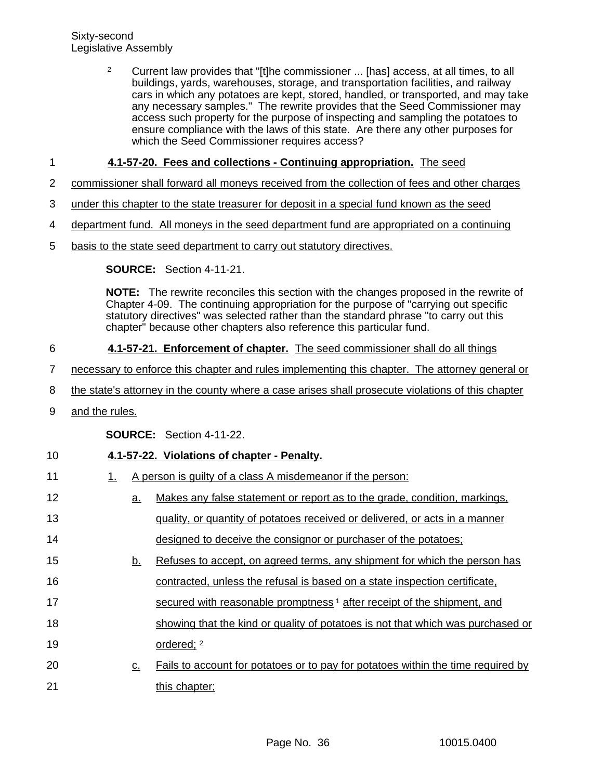<sup>2</sup> Current law provides that "[t]he commissioner ... [has] access, at all times, to all buildings, yards, warehouses, storage, and transportation facilities, and railway cars in which any potatoes are kept, stored, handled, or transported, and may take any necessary samples." The rewrite provides that the Seed Commissioner may access such property for the purpose of inspecting and sampling the potatoes to ensure compliance with the laws of this state. Are there any other purposes for which the Seed Commissioner requires access?

### **4.1-57-20. Fees and collections - Continuing appropriation.** The seed 1

- commissioner shall forward all moneys received from the collection of fees and other charges 2
- under this chapter to the state treasurer for deposit in a special fund known as the seed 3
- department fund. All moneys in the seed department fund are appropriated on a continuing 4
- basis to the state seed department to carry out statutory directives. 5

**SOURCE:** Section 4-11-21.

**NOTE:** The rewrite reconciles this section with the changes proposed in the rewrite of Chapter 4-09. The continuing appropriation for the purpose of "carrying out specific statutory directives" was selected rather than the standard phrase "to carry out this chapter" because other chapters also reference this particular fund.

### **4.1-57-21. Enforcement of chapter.** The seed commissioner shall do all things 6

- necessary to enforce this chapter and rules implementing this chapter. The attorney general or 7
- the state's attorney in the county where a case arises shall prosecute violations of this chapter 8
- and the rules. 9

**SOURCE:** Section 4-11-22.

### **4.1-57-22. Violations of chapter - Penalty.** 10

1. A person is guilty of a class A misdemeanor if the person: a. Makes any false statement or report as to the grade, condition, markings, quality, or quantity of potatoes received or delivered, or acts in a manner designed to deceive the consignor or purchaser of the potatoes; b. Refuses to accept, on agreed terms, any shipment for which the person has contracted, unless the refusal is based on a state inspection certificate, secured with reasonable promptness<sup>1</sup> after receipt of the shipment, and showing that the kind or quality of potatoes is not that which was purchased or ordered; <sup>2</sup> c. Fails to account for potatoes or to pay for potatoes within the time required by this chapter; 11 12 13 14 15 16 17 18 19 20 21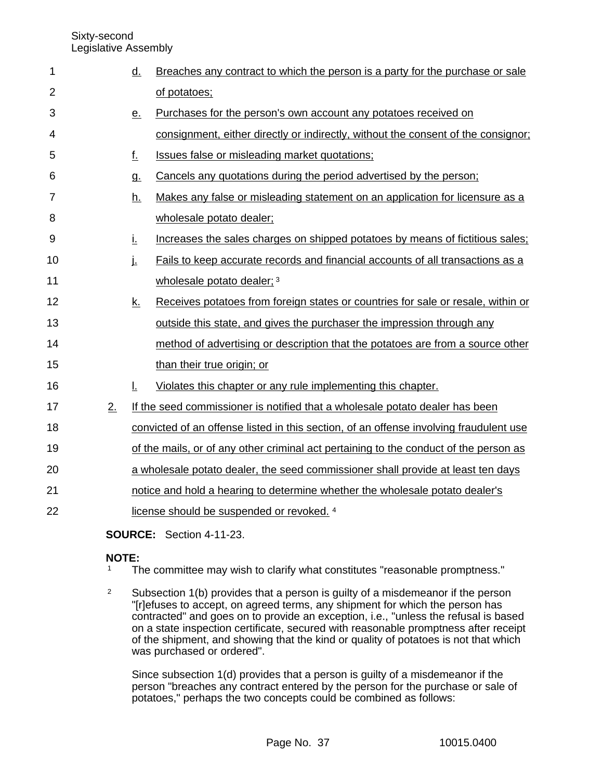| 1              |    | <u>d.</u> | Breaches any contract to which the person is a party for the purchase or sale          |
|----------------|----|-----------|----------------------------------------------------------------------------------------|
| $\overline{2}$ |    |           | of potatoes;                                                                           |
| 3              |    | <u>e.</u> | Purchases for the person's own account any potatoes received on                        |
| 4              |    |           | consignment, either directly or indirectly, without the consent of the consignor;      |
| 5              |    | <u>f.</u> | Issues false or misleading market quotations;                                          |
| 6              |    | g.        | Cancels any quotations during the period advertised by the person;                     |
| 7              |    | <u>h.</u> | Makes any false or misleading statement on an application for licensure as a           |
| 8              |    |           | wholesale potato dealer;                                                               |
| 9              |    | Ĺ.        | Increases the sales charges on shipped potatoes by means of fictitious sales;          |
| 10             |    | į.        | Fails to keep accurate records and financial accounts of all transactions as a         |
| 11             |    |           | wholesale potato dealer; 3                                                             |
| 12             |    | <u>k.</u> | Receives potatoes from foreign states or countries for sale or resale, within or       |
| 13             |    |           | outside this state, and gives the purchaser the impression through any                 |
| 14             |    |           | method of advertising or description that the potatoes are from a source other         |
| 15             |    |           | than their true origin; or                                                             |
| 16             |    | Ŀ.        | Violates this chapter or any rule implementing this chapter.                           |
| 17             | 2. |           | If the seed commissioner is notified that a wholesale potato dealer has been           |
| 18             |    |           | convicted of an offense listed in this section, of an offense involving fraudulent use |
| 19             |    |           | of the mails, or of any other criminal act pertaining to the conduct of the person as  |
| 20             |    |           | a wholesale potato dealer, the seed commissioner shall provide at least ten days       |
| 21             |    |           | notice and hold a hearing to determine whether the wholesale potato dealer's           |
| 22             |    |           | license should be suspended or revoked. 4                                              |
|                |    |           |                                                                                        |

**SOURCE:** Section 4-11-23.

### **NOTE:**

<sup>1</sup> The committee may wish to clarify what constitutes "reasonable promptness."

<sup>2</sup> Subsection 1(b) provides that a person is guilty of a misdemeanor if the person "[r]efuses to accept, on agreed terms, any shipment for which the person has contracted" and goes on to provide an exception, i.e., "unless the refusal is based on a state inspection certificate, secured with reasonable promptness after receipt of the shipment, and showing that the kind or quality of potatoes is not that which was purchased or ordered".

Since subsection 1(d) provides that a person is guilty of a misdemeanor if the person "breaches any contract entered by the person for the purchase or sale of potatoes," perhaps the two concepts could be combined as follows: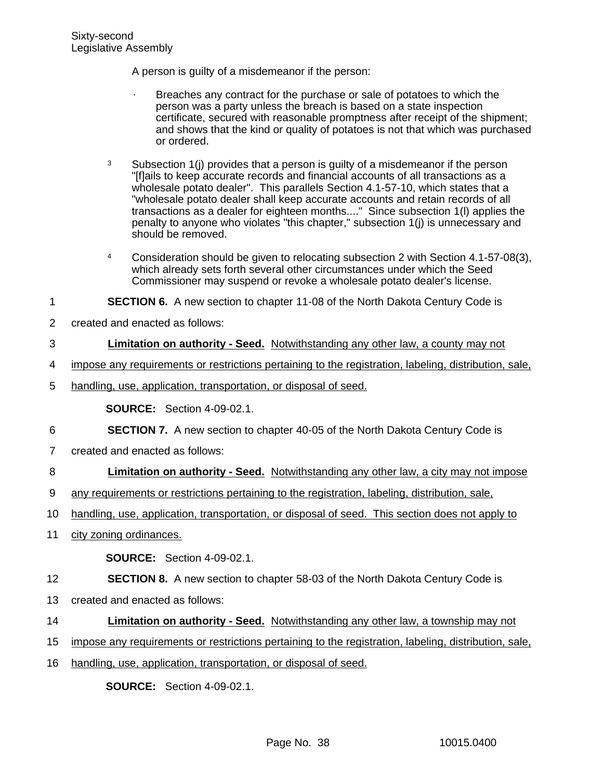A person is guilty of a misdemeanor if the person:

- Breaches any contract for the purchase or sale of potatoes to which the person was a party unless the breach is based on a state inspection certificate, secured with reasonable promptness after receipt of the shipment; and shows that the kind or quality of potatoes is not that which was purchased or ordered.
- $3$  Subsection 1(j) provides that a person is guilty of a misdemeanor if the person "[f]ails to keep accurate records and financial accounts of all transactions as a wholesale potato dealer". This parallels Section 4.1-57-10, which states that a "wholesale potato dealer shall keep accurate accounts and retain records of all transactions as a dealer for eighteen months...." Since subsection 1(l) applies the penalty to anyone who violates "this chapter," subsection 1(j) is unnecessary and should be removed.
- <sup>4</sup> Consideration should be given to relocating subsection 2 with Section 4.1-57-08(3), which already sets forth several other circumstances under which the Seed Commissioner may suspend or revoke a wholesale potato dealer's license.

#### **SECTION 6.** A new section to chapter 11-08 of the North Dakota Century Code is 1

created and enacted as follows: 2

#### **Limitation on authority - Seed.** Notwithstanding any other law, a county may not 3

- impose any requirements or restrictions pertaining to the registration, labeling, distribution, sale, 4
- handling, use, application, transportation, or disposal of seed. 5

**SOURCE:** Section 4-09-02.1.

- **SECTION 7.** A new section to chapter 40-05 of the North Dakota Century Code is 6
- created and enacted as follows: 7

### **Limitation on authority - Seed.** Notwithstanding any other law, a city may not impose 8

- any requirements or restrictions pertaining to the registration, labeling, distribution, sale, 9
- handling, use, application, transportation, or disposal of seed. This section does not apply to 10
- city zoning ordinances. 11

**SOURCE:** Section 4-09-02.1.

**SECTION 8.** A new section to chapter 58-03 of the North Dakota Century Code is 12

- created and enacted as follows: 13
- **Limitation on authority Seed.** Notwithstanding any other law, a township may not 14
- impose any requirements or restrictions pertaining to the registration, labeling, distribution, sale, 15
- handling, use, application, transportation, or disposal of seed. 16

**SOURCE:** Section 4-09-02.1.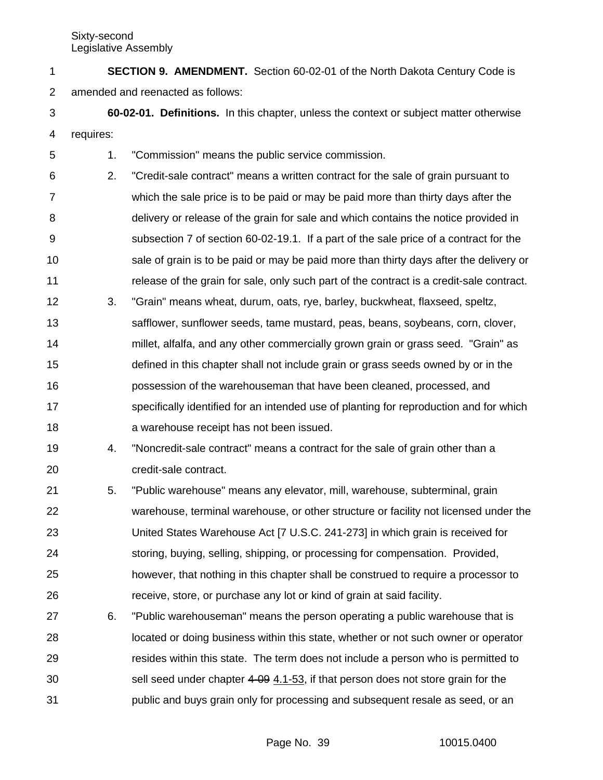**SECTION 9. AMENDMENT.** Section 60-02-01 of the North Dakota Century Code is amended and reenacted as follows: 1 2

**60-02-01. Definitions.** In this chapter, unless the context or subject matter otherwise requires: 3 4

1. "Commission" means the public service commission. 5

2. "Credit-sale contract" means a written contract for the sale of grain pursuant to which the sale price is to be paid or may be paid more than thirty days after the delivery or release of the grain for sale and which contains the notice provided in subsection 7 of section 60-02-19.1. If a part of the sale price of a contract for the sale of grain is to be paid or may be paid more than thirty days after the delivery or release of the grain for sale, only such part of the contract is a credit-sale contract. 6 7 8 9 10 11

- 3. "Grain" means wheat, durum, oats, rye, barley, buckwheat, flaxseed, speltz, safflower, sunflower seeds, tame mustard, peas, beans, soybeans, corn, clover, millet, alfalfa, and any other commercially grown grain or grass seed. "Grain" as defined in this chapter shall not include grain or grass seeds owned by or in the possession of the warehouseman that have been cleaned, processed, and specifically identified for an intended use of planting for reproduction and for which a warehouse receipt has not been issued. 12 13 14 15 16 17 18
- 4. "Noncredit-sale contract" means a contract for the sale of grain other than a credit-sale contract. 19 20
- 5. "Public warehouse" means any elevator, mill, warehouse, subterminal, grain warehouse, terminal warehouse, or other structure or facility not licensed under the United States Warehouse Act [7 U.S.C. 241-273] in which grain is received for storing, buying, selling, shipping, or processing for compensation. Provided, however, that nothing in this chapter shall be construed to require a processor to receive, store, or purchase any lot or kind of grain at said facility. 21 22 23 24 25 26
- 6. "Public warehouseman" means the person operating a public warehouse that is located or doing business within this state, whether or not such owner or operator resides within this state. The term does not include a person who is permitted to sell seed under chapter 4-09 4.1-53, if that person does not store grain for the public and buys grain only for processing and subsequent resale as seed, or an 27 28 29 30 31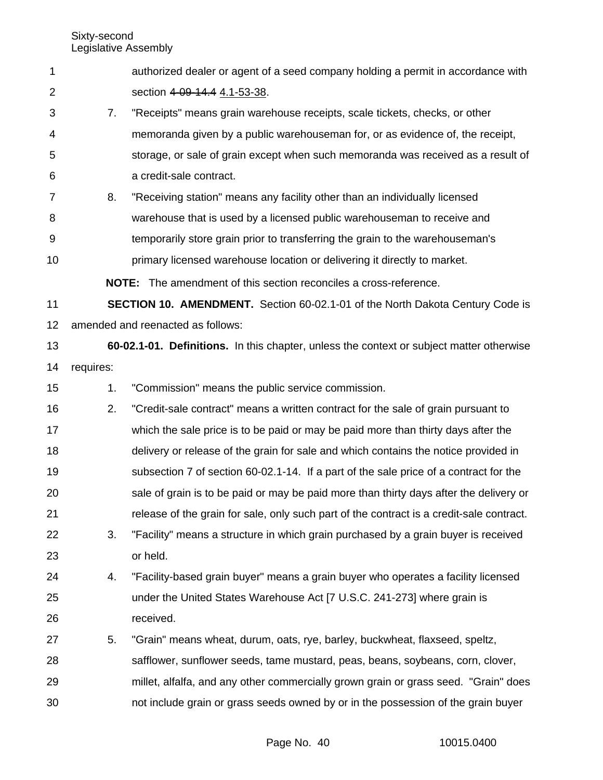| authorized dealer or agent of a seed company holding a permit in accordance with |
|----------------------------------------------------------------------------------|
| section 4-09-14.4 4.1-53-38.                                                     |

7. "Receipts" means grain warehouse receipts, scale tickets, checks, or other memoranda given by a public warehouseman for, or as evidence of, the receipt, storage, or sale of grain except when such memoranda was received as a result of a credit-sale contract. 3 4 5 6

8. "Receiving station" means any facility other than an individually licensed warehouse that is used by a licensed public warehouseman to receive and temporarily store grain prior to transferring the grain to the warehouseman's primary licensed warehouse location or delivering it directly to market. 7 8 9 10

**NOTE:** The amendment of this section reconciles a cross-reference.

**SECTION 10. AMENDMENT.** Section 60-02.1-01 of the North Dakota Century Code is amended and reenacted as follows: 11 12

**60-02.1-01. Definitions.** In this chapter, unless the context or subject matter otherwise requires: 13 14

1. "Commission" means the public service commission. 15

2. "Credit-sale contract" means a written contract for the sale of grain pursuant to which the sale price is to be paid or may be paid more than thirty days after the delivery or release of the grain for sale and which contains the notice provided in subsection 7 of section 60-02.1-14. If a part of the sale price of a contract for the sale of grain is to be paid or may be paid more than thirty days after the delivery or release of the grain for sale, only such part of the contract is a credit-sale contract. 16 17 18 19 20 21

- 3. "Facility" means a structure in which grain purchased by a grain buyer is received or held. 22 23
- 4. "Facility-based grain buyer" means a grain buyer who operates a facility licensed under the United States Warehouse Act [7 U.S.C. 241-273] where grain is received. 24 25 26
- 5. "Grain" means wheat, durum, oats, rye, barley, buckwheat, flaxseed, speltz, safflower, sunflower seeds, tame mustard, peas, beans, soybeans, corn, clover, millet, alfalfa, and any other commercially grown grain or grass seed. "Grain" does not include grain or grass seeds owned by or in the possession of the grain buyer 27 28 29 30